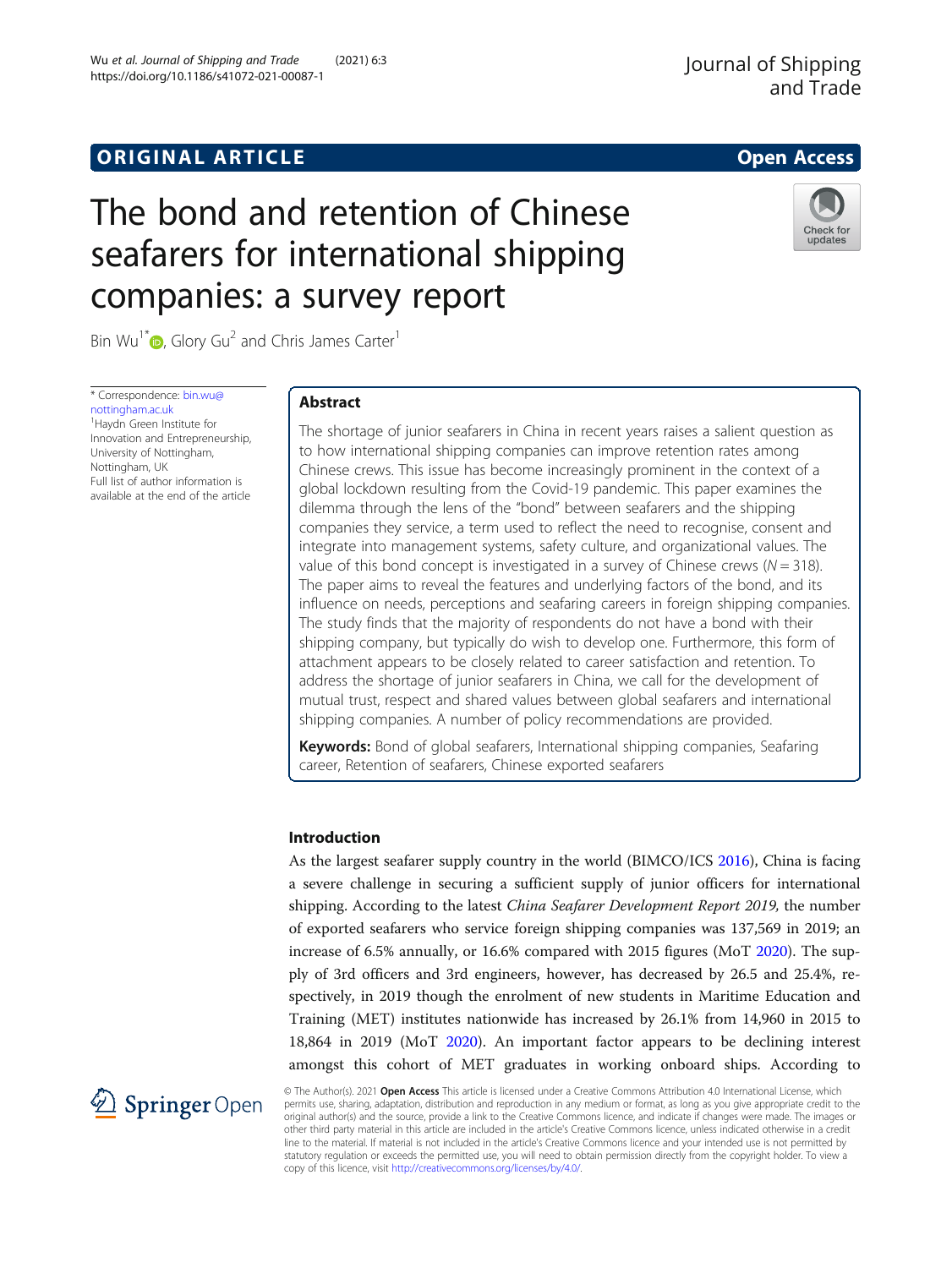# **ORIGINAL ARTICLE CONSUMING A LIGACION** CONSUMING A LIGACION CONSUMING A LIGACION CONSUMING A LIGACION CONSUMING A LIGACION CONSUMING A LIGACION CONSUMING A LIGACION CONSUMING A LIGACION CONSUMING A LIGACION CONSUMING A

## Journal of Shipping and Trade

# The bond and retention of Chinese seafarers for international shipping companies: a survey report



Bin Wu<sup>1[\\*](http://orcid.org/0000-0002-7568-1993)</sup> $\bullet$ , Glory Gu<sup>2</sup> and Chris James Carter<sup>1</sup>

\* Correspondence: [bin.wu@](mailto:bin.wu@nottingham.ac.uk) [nottingham.ac.uk](mailto:bin.wu@nottingham.ac.uk) 1 Haydn Green Institute for Innovation and Entrepreneurship, University of Nottingham, Nottingham, UK Full list of author information is available at the end of the article

## Abstract

The shortage of junior seafarers in China in recent years raises a salient question as to how international shipping companies can improve retention rates among Chinese crews. This issue has become increasingly prominent in the context of a global lockdown resulting from the Covid-19 pandemic. This paper examines the dilemma through the lens of the "bond" between seafarers and the shipping companies they service, a term used to reflect the need to recognise, consent and integrate into management systems, safety culture, and organizational values. The value of this bond concept is investigated in a survey of Chinese crews ( $N = 318$ ). The paper aims to reveal the features and underlying factors of the bond, and its influence on needs, perceptions and seafaring careers in foreign shipping companies. The study finds that the majority of respondents do not have a bond with their shipping company, but typically do wish to develop one. Furthermore, this form of attachment appears to be closely related to career satisfaction and retention. To address the shortage of junior seafarers in China, we call for the development of mutual trust, respect and shared values between global seafarers and international shipping companies. A number of policy recommendations are provided.

Keywords: Bond of global seafarers, International shipping companies, Seafaring career, Retention of seafarers, Chinese exported seafarers

### Introduction

As the largest seafarer supply country in the world (BIMCO/ICS [2016](#page-16-0)), China is facing a severe challenge in securing a sufficient supply of junior officers for international shipping. According to the latest China Seafarer Development Report 2019, the number of exported seafarers who service foreign shipping companies was 137,569 in 2019; an increase of 6.5% annually, or 16.6% compared with 2015 figures (MoT [2020\)](#page-16-0). The supply of 3rd officers and 3rd engineers, however, has decreased by 26.5 and 25.4%, respectively, in 2019 though the enrolment of new students in Maritime Education and Training (MET) institutes nationwide has increased by 26.1% from 14,960 in 2015 to 18,864 in 2019 (MoT [2020\)](#page-16-0). An important factor appears to be declining interest amongst this cohort of MET graduates in working onboard ships. According to



© The Author(s). 2021 Open Access This article is licensed under a Creative Commons Attribution 4.0 International License, which permits use, sharing, adaptation, distribution and reproduction in any medium or format, as long as you give appropriate credit to the original author(s) and the source, provide a link to the Creative Commons licence, and indicate if changes were made. The images or other third party material in this article are included in the article's Creative Commons licence, unless indicated otherwise in a credit line to the material. If material is not included in the article's Creative Commons licence and your intended use is not permitted by statutory regulation or exceeds the permitted use, you will need to obtain permission directly from the copyright holder. To view a copy of this licence, visit <http://creativecommons.org/licenses/by/4.0/>.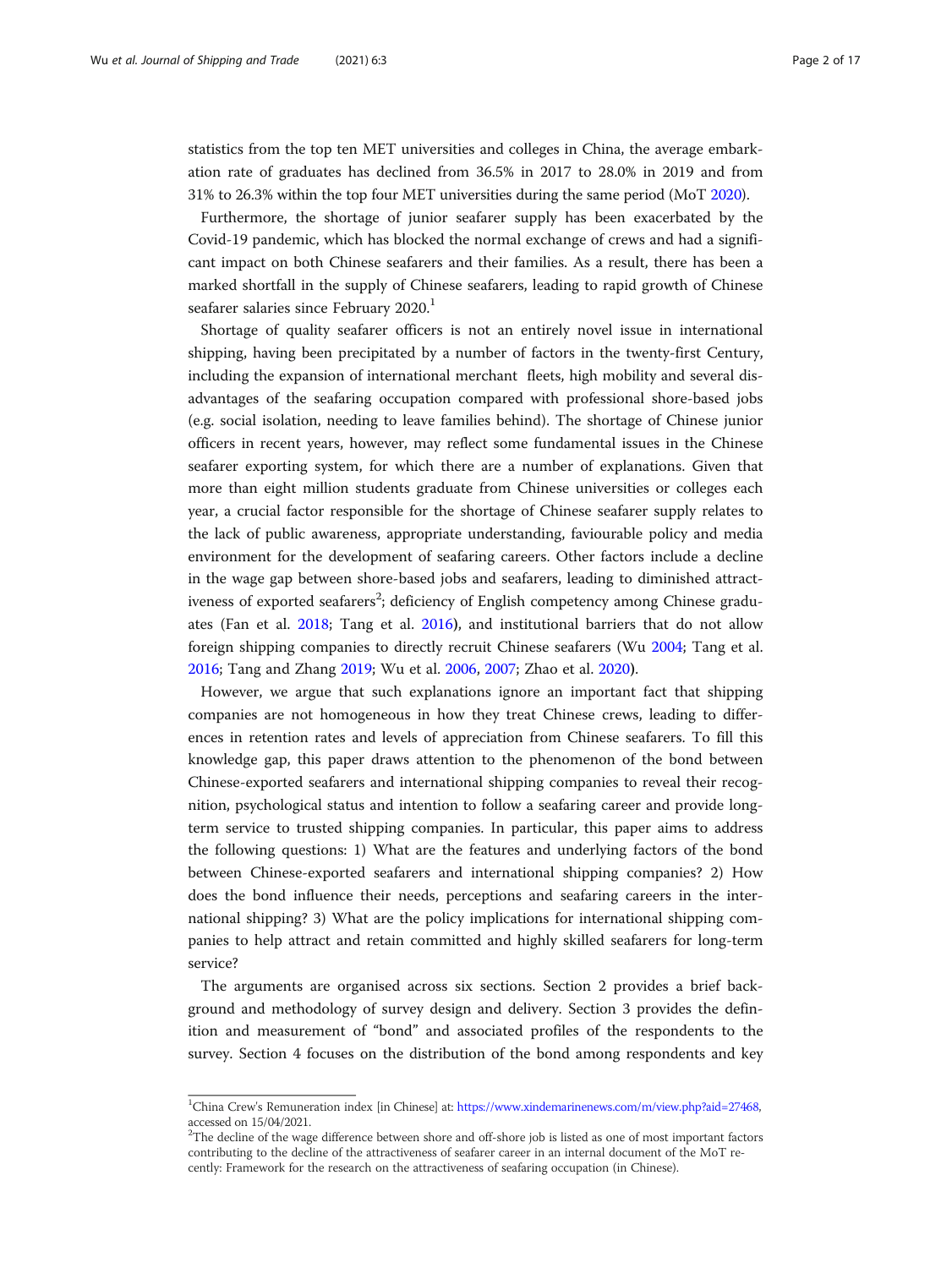statistics from the top ten MET universities and colleges in China, the average embarkation rate of graduates has declined from 36.5% in 2017 to 28.0% in 2019 and from 31% to 26.3% within the top four MET universities during the same period (MoT [2020](#page-16-0)).

Furthermore, the shortage of junior seafarer supply has been exacerbated by the Covid-19 pandemic, which has blocked the normal exchange of crews and had a significant impact on both Chinese seafarers and their families. As a result, there has been a marked shortfall in the supply of Chinese seafarers, leading to rapid growth of Chinese seafarer salaries since February 2020.<sup>1</sup>

Shortage of quality seafarer officers is not an entirely novel issue in international shipping, having been precipitated by a number of factors in the twenty-first Century, including the expansion of international merchant fleets, high mobility and several disadvantages of the seafaring occupation compared with professional shore-based jobs (e.g. social isolation, needing to leave families behind). The shortage of Chinese junior officers in recent years, however, may reflect some fundamental issues in the Chinese seafarer exporting system, for which there are a number of explanations. Given that more than eight million students graduate from Chinese universities or colleges each year, a crucial factor responsible for the shortage of Chinese seafarer supply relates to the lack of public awareness, appropriate understanding, faviourable policy and media environment for the development of seafaring careers. Other factors include a decline in the wage gap between shore-based jobs and seafarers, leading to diminished attractiveness of exported seafarers<sup>2</sup>; deficiency of English competency among Chinese graduates (Fan et al. [2018;](#page-16-0) Tang et al. [2016](#page-16-0)), and institutional barriers that do not allow foreign shipping companies to directly recruit Chinese seafarers (Wu [2004](#page-16-0); Tang et al. [2016](#page-16-0); Tang and Zhang [2019;](#page-16-0) Wu et al. [2006](#page-16-0), [2007](#page-16-0); Zhao et al. [2020](#page-16-0)).

However, we argue that such explanations ignore an important fact that shipping companies are not homogeneous in how they treat Chinese crews, leading to differences in retention rates and levels of appreciation from Chinese seafarers. To fill this knowledge gap, this paper draws attention to the phenomenon of the bond between Chinese-exported seafarers and international shipping companies to reveal their recognition, psychological status and intention to follow a seafaring career and provide longterm service to trusted shipping companies. In particular, this paper aims to address the following questions: 1) What are the features and underlying factors of the bond between Chinese-exported seafarers and international shipping companies? 2) How does the bond influence their needs, perceptions and seafaring careers in the international shipping? 3) What are the policy implications for international shipping companies to help attract and retain committed and highly skilled seafarers for long-term service?

The arguments are organised across six sections. Section 2 provides a brief background and methodology of survey design and delivery. Section 3 provides the definition and measurement of "bond" and associated profiles of the respondents to the survey. Section 4 focuses on the distribution of the bond among respondents and key

<sup>&</sup>lt;sup>1</sup>China Crew's Remuneration index [in Chinese] at: [https://www.xindemarinenews.com/m/view.php?aid=27468,](https://www.xindemarinenews.com/m/view.php?aid=27468) accessed on 15/04/2021.

 $2$ The decline of the wage difference between shore and off-shore job is listed as one of most important factors contributing to the decline of the attractiveness of seafarer career in an internal document of the MoT recently: Framework for the research on the attractiveness of seafaring occupation (in Chinese).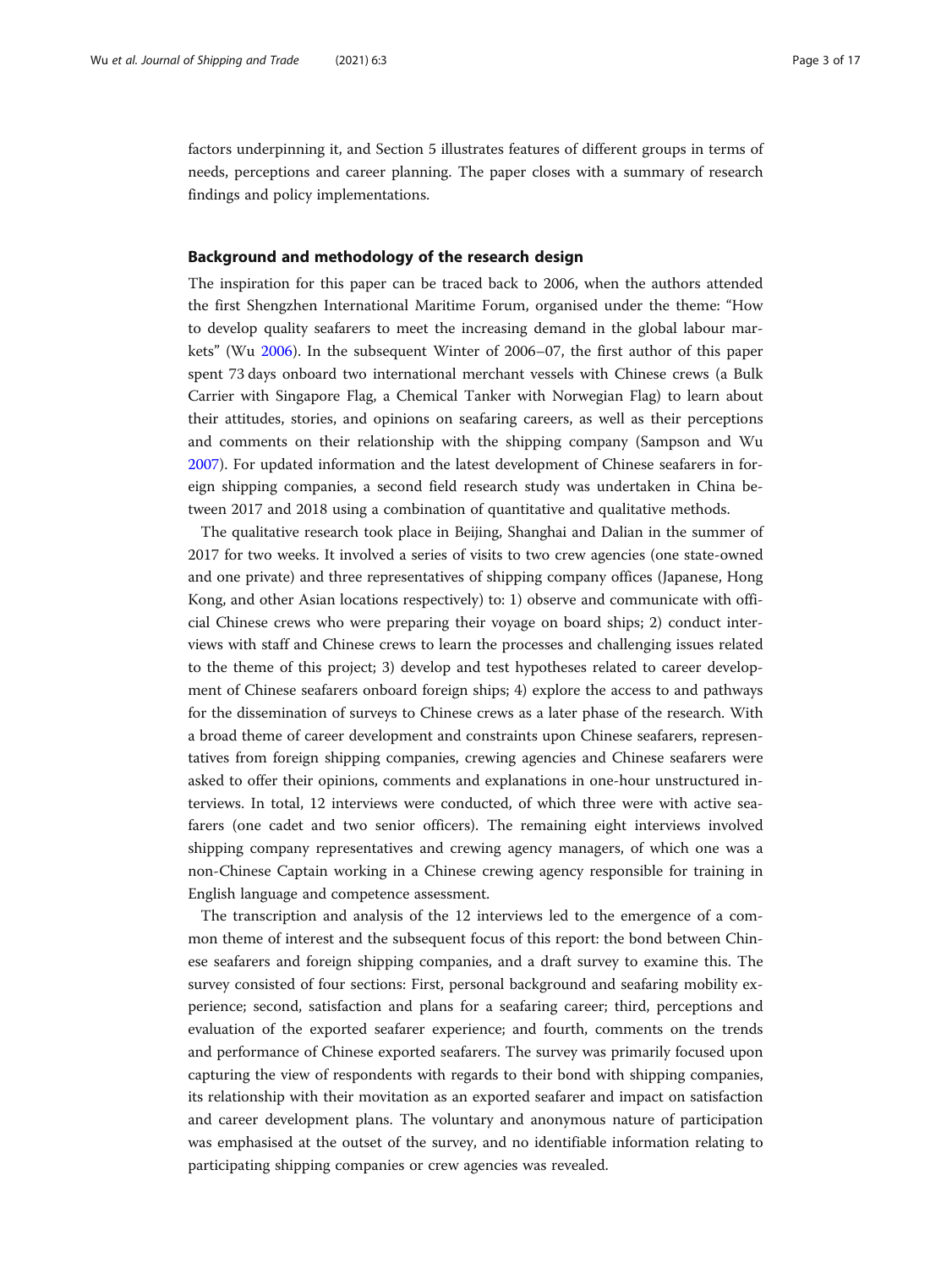factors underpinning it, and Section 5 illustrates features of different groups in terms of needs, perceptions and career planning. The paper closes with a summary of research findings and policy implementations.

#### Background and methodology of the research design

The inspiration for this paper can be traced back to 2006, when the authors attended the first Shengzhen International Maritime Forum, organised under the theme: "How to develop quality seafarers to meet the increasing demand in the global labour markets" (Wu [2006](#page-16-0)). In the subsequent Winter of 2006–07, the first author of this paper spent 73 days onboard two international merchant vessels with Chinese crews (a Bulk Carrier with Singapore Flag, a Chemical Tanker with Norwegian Flag) to learn about their attitudes, stories, and opinions on seafaring careers, as well as their perceptions and comments on their relationship with the shipping company (Sampson and Wu [2007](#page-16-0)). For updated information and the latest development of Chinese seafarers in foreign shipping companies, a second field research study was undertaken in China between 2017 and 2018 using a combination of quantitative and qualitative methods.

The qualitative research took place in Beijing, Shanghai and Dalian in the summer of 2017 for two weeks. It involved a series of visits to two crew agencies (one state-owned and one private) and three representatives of shipping company offices (Japanese, Hong Kong, and other Asian locations respectively) to: 1) observe and communicate with official Chinese crews who were preparing their voyage on board ships; 2) conduct interviews with staff and Chinese crews to learn the processes and challenging issues related to the theme of this project; 3) develop and test hypotheses related to career development of Chinese seafarers onboard foreign ships; 4) explore the access to and pathways for the dissemination of surveys to Chinese crews as a later phase of the research. With a broad theme of career development and constraints upon Chinese seafarers, representatives from foreign shipping companies, crewing agencies and Chinese seafarers were asked to offer their opinions, comments and explanations in one-hour unstructured interviews. In total, 12 interviews were conducted, of which three were with active seafarers (one cadet and two senior officers). The remaining eight interviews involved shipping company representatives and crewing agency managers, of which one was a non-Chinese Captain working in a Chinese crewing agency responsible for training in English language and competence assessment.

The transcription and analysis of the 12 interviews led to the emergence of a common theme of interest and the subsequent focus of this report: the bond between Chinese seafarers and foreign shipping companies, and a draft survey to examine this. The survey consisted of four sections: First, personal background and seafaring mobility experience; second, satisfaction and plans for a seafaring career; third, perceptions and evaluation of the exported seafarer experience; and fourth, comments on the trends and performance of Chinese exported seafarers. The survey was primarily focused upon capturing the view of respondents with regards to their bond with shipping companies, its relationship with their movitation as an exported seafarer and impact on satisfaction and career development plans. The voluntary and anonymous nature of participation was emphasised at the outset of the survey, and no identifiable information relating to participating shipping companies or crew agencies was revealed.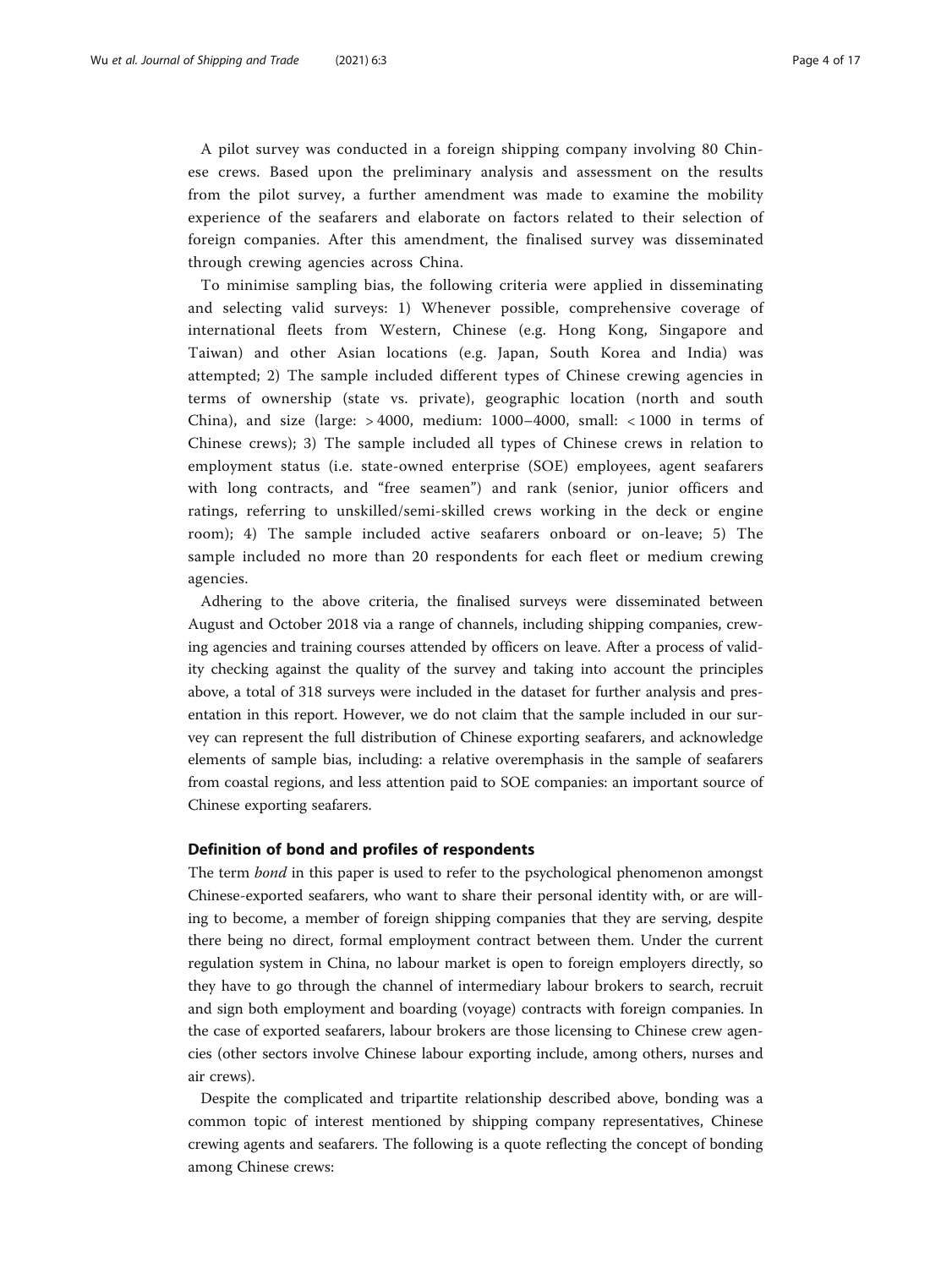A pilot survey was conducted in a foreign shipping company involving 80 Chinese crews. Based upon the preliminary analysis and assessment on the results from the pilot survey, a further amendment was made to examine the mobility experience of the seafarers and elaborate on factors related to their selection of foreign companies. After this amendment, the finalised survey was disseminated through crewing agencies across China.

To minimise sampling bias, the following criteria were applied in disseminating and selecting valid surveys: 1) Whenever possible, comprehensive coverage of international fleets from Western, Chinese (e.g. Hong Kong, Singapore and Taiwan) and other Asian locations (e.g. Japan, South Korea and India) was attempted; 2) The sample included different types of Chinese crewing agencies in terms of ownership (state vs. private), geographic location (north and south China), and size (large: > 4000, medium: 1000–4000, small: < 1000 in terms of Chinese crews); 3) The sample included all types of Chinese crews in relation to employment status (i.e. state-owned enterprise (SOE) employees, agent seafarers with long contracts, and "free seamen") and rank (senior, junior officers and ratings, referring to unskilled/semi-skilled crews working in the deck or engine room); 4) The sample included active seafarers onboard or on-leave; 5) The sample included no more than 20 respondents for each fleet or medium crewing agencies.

Adhering to the above criteria, the finalised surveys were disseminated between August and October 2018 via a range of channels, including shipping companies, crewing agencies and training courses attended by officers on leave. After a process of validity checking against the quality of the survey and taking into account the principles above, a total of 318 surveys were included in the dataset for further analysis and presentation in this report. However, we do not claim that the sample included in our survey can represent the full distribution of Chinese exporting seafarers, and acknowledge elements of sample bias, including: a relative overemphasis in the sample of seafarers from coastal regions, and less attention paid to SOE companies: an important source of Chinese exporting seafarers.

## Definition of bond and profiles of respondents

The term bond in this paper is used to refer to the psychological phenomenon amongst Chinese-exported seafarers, who want to share their personal identity with, or are willing to become, a member of foreign shipping companies that they are serving, despite there being no direct, formal employment contract between them. Under the current regulation system in China, no labour market is open to foreign employers directly, so they have to go through the channel of intermediary labour brokers to search, recruit and sign both employment and boarding (voyage) contracts with foreign companies. In the case of exported seafarers, labour brokers are those licensing to Chinese crew agencies (other sectors involve Chinese labour exporting include, among others, nurses and air crews).

Despite the complicated and tripartite relationship described above, bonding was a common topic of interest mentioned by shipping company representatives, Chinese crewing agents and seafarers. The following is a quote reflecting the concept of bonding among Chinese crews: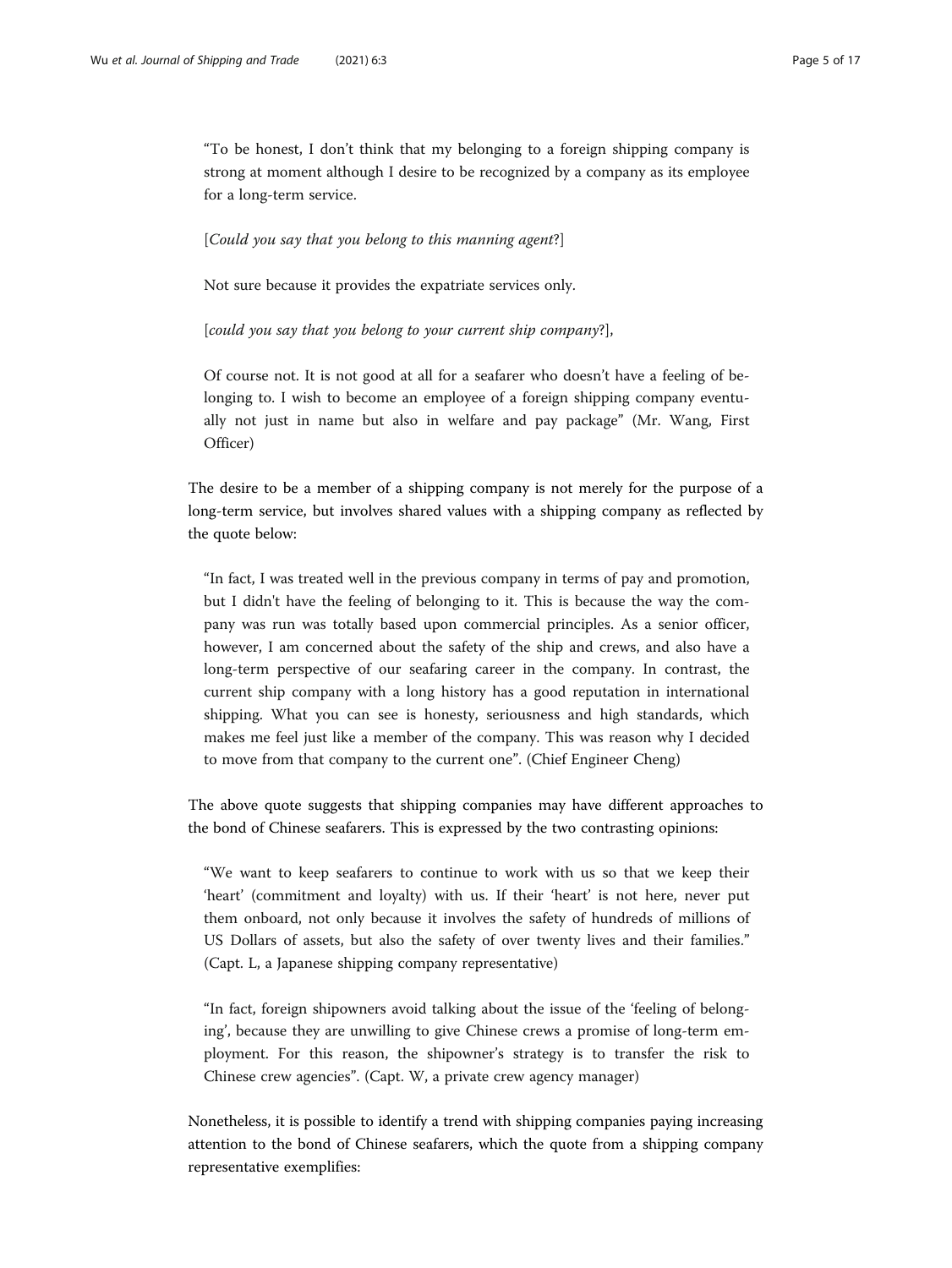"To be honest, I don't think that my belonging to a foreign shipping company is strong at moment although I desire to be recognized by a company as its employee for a long-term service.

#### [Could you say that you belong to this manning agent?]

Not sure because it provides the expatriate services only.

[could you say that you belong to your current ship company?],

Of course not. It is not good at all for a seafarer who doesn't have a feeling of belonging to. I wish to become an employee of a foreign shipping company eventually not just in name but also in welfare and pay package" (Mr. Wang, First Officer)

The desire to be a member of a shipping company is not merely for the purpose of a long-term service, but involves shared values with a shipping company as reflected by the quote below:

"In fact, I was treated well in the previous company in terms of pay and promotion, but I didn't have the feeling of belonging to it. This is because the way the company was run was totally based upon commercial principles. As a senior officer, however, I am concerned about the safety of the ship and crews, and also have a long-term perspective of our seafaring career in the company. In contrast, the current ship company with a long history has a good reputation in international shipping. What you can see is honesty, seriousness and high standards, which makes me feel just like a member of the company. This was reason why I decided to move from that company to the current one". (Chief Engineer Cheng)

The above quote suggests that shipping companies may have different approaches to the bond of Chinese seafarers. This is expressed by the two contrasting opinions:

"We want to keep seafarers to continue to work with us so that we keep their 'heart' (commitment and loyalty) with us. If their 'heart' is not here, never put them onboard, not only because it involves the safety of hundreds of millions of US Dollars of assets, but also the safety of over twenty lives and their families." (Capt. L, a Japanese shipping company representative)

"In fact, foreign shipowners avoid talking about the issue of the 'feeling of belonging', because they are unwilling to give Chinese crews a promise of long-term employment. For this reason, the shipowner's strategy is to transfer the risk to Chinese crew agencies". (Capt. W, a private crew agency manager)

Nonetheless, it is possible to identify a trend with shipping companies paying increasing attention to the bond of Chinese seafarers, which the quote from a shipping company representative exemplifies: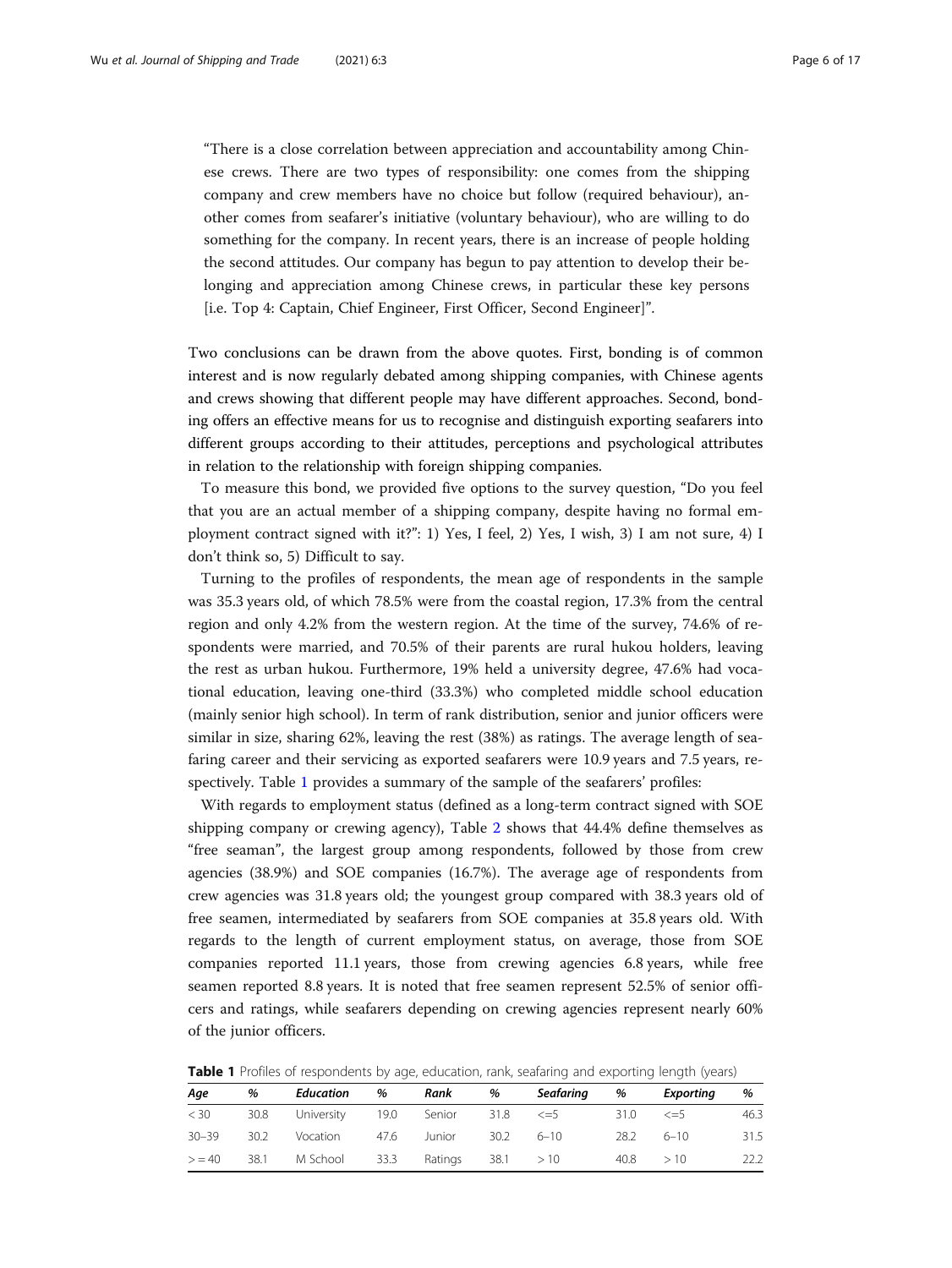"There is a close correlation between appreciation and accountability among Chinese crews. There are two types of responsibility: one comes from the shipping company and crew members have no choice but follow (required behaviour), another comes from seafarer's initiative (voluntary behaviour), who are willing to do something for the company. In recent years, there is an increase of people holding the second attitudes. Our company has begun to pay attention to develop their belonging and appreciation among Chinese crews, in particular these key persons [i.e. Top 4: Captain, Chief Engineer, First Officer, Second Engineer]".

Two conclusions can be drawn from the above quotes. First, bonding is of common interest and is now regularly debated among shipping companies, with Chinese agents and crews showing that different people may have different approaches. Second, bonding offers an effective means for us to recognise and distinguish exporting seafarers into different groups according to their attitudes, perceptions and psychological attributes in relation to the relationship with foreign shipping companies.

To measure this bond, we provided five options to the survey question, "Do you feel that you are an actual member of a shipping company, despite having no formal employment contract signed with it?": 1) Yes, I feel, 2) Yes, I wish, 3) I am not sure, 4) I don't think so, 5) Difficult to say.

Turning to the profiles of respondents, the mean age of respondents in the sample was 35.3 years old, of which 78.5% were from the coastal region, 17.3% from the central region and only 4.2% from the western region. At the time of the survey, 74.6% of respondents were married, and 70.5% of their parents are rural hukou holders, leaving the rest as urban hukou. Furthermore, 19% held a university degree, 47.6% had vocational education, leaving one-third (33.3%) who completed middle school education (mainly senior high school). In term of rank distribution, senior and junior officers were similar in size, sharing 62%, leaving the rest (38%) as ratings. The average length of seafaring career and their servicing as exported seafarers were 10.9 years and 7.5 years, respectively. Table 1 provides a summary of the sample of the seafarers' profiles:

With regards to employment status (defined as a long-term contract signed with SOE shipping company or crewing agency), Table [2](#page-6-0) shows that 44.4% define themselves as "free seaman", the largest group among respondents, followed by those from crew agencies (38.9%) and SOE companies (16.7%). The average age of respondents from crew agencies was 31.8 years old; the youngest group compared with 38.3 years old of free seamen, intermediated by seafarers from SOE companies at 35.8 years old. With regards to the length of current employment status, on average, those from SOE companies reported 11.1 years, those from crewing agencies 6.8 years, while free seamen reported 8.8 years. It is noted that free seamen represent 52.5% of senior officers and ratings, while seafarers depending on crewing agencies represent nearly 60% of the junior officers.

| Table 1 Profiles of respondents by age, education, rank, seafaring and exporting length (years) |  |  |  |  |  |  |  |  |  |  |  |
|-------------------------------------------------------------------------------------------------|--|--|--|--|--|--|--|--|--|--|--|
|-------------------------------------------------------------------------------------------------|--|--|--|--|--|--|--|--|--|--|--|

| Age       | %    | Education                             | % | Rank                | % | Seafaring   | %    | Exporting    | %    |
|-----------|------|---------------------------------------|---|---------------------|---|-------------|------|--------------|------|
| < 30      | 30.8 | University 19.0 Senior 31.8 $\leq$ =5 |   |                     |   |             | 31.0 | $\leq$ $=$ 5 | 46.3 |
| $30 - 39$ | 30.2 | Vocation                              |   | 47.6 Junior         |   | $30.2$ 6-10 |      | 28.2 6-10    | 31.5 |
| > 40      | 38.1 | M School 33.3                         |   | Ratings $38.1 > 10$ |   |             |      | $40.8$ $>10$ | 22.2 |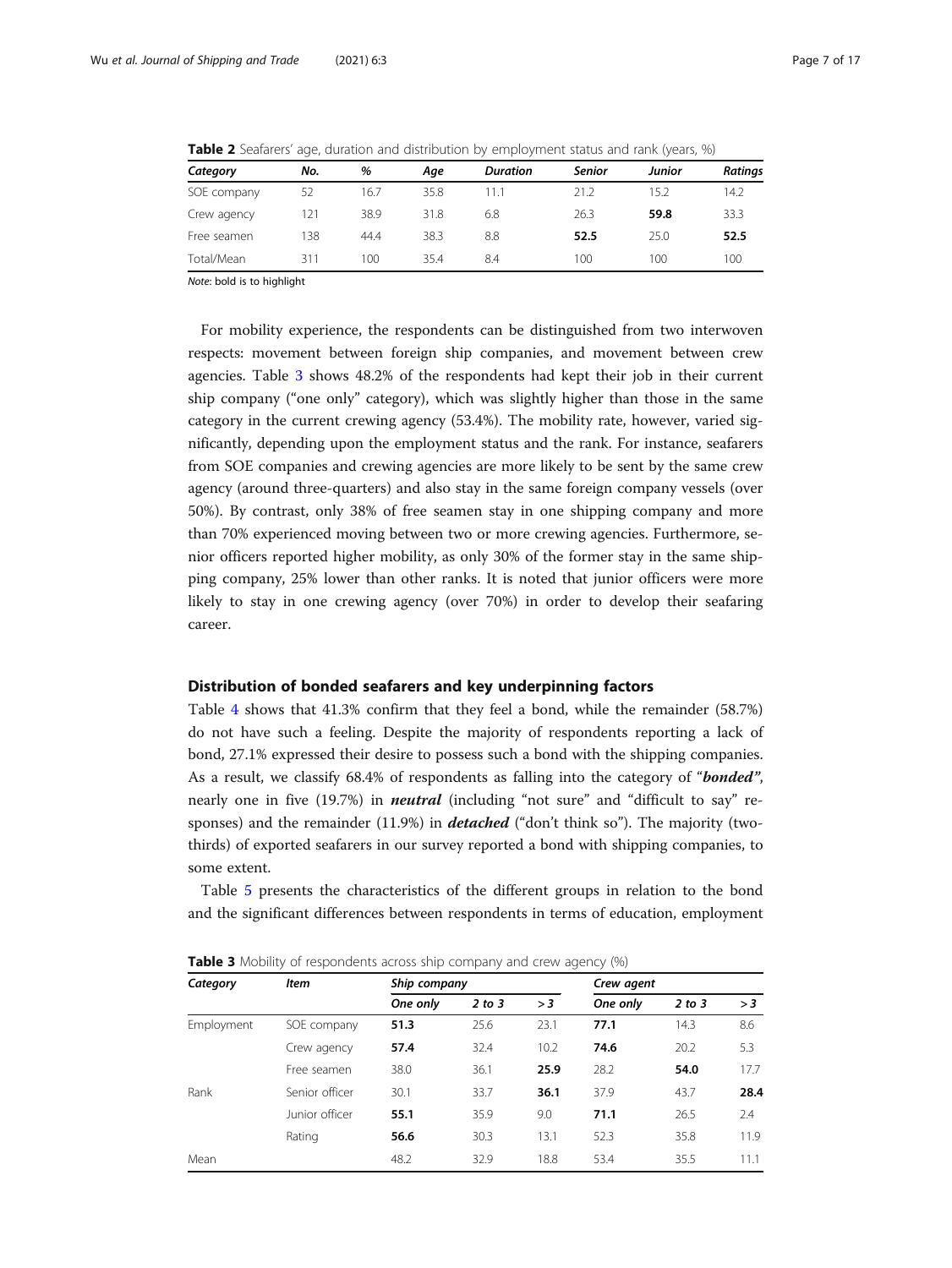| Category    | No. | %    | Aae  | <b>Duration</b> | <b>Senior</b> | Junior | <b>Ratings</b> |
|-------------|-----|------|------|-----------------|---------------|--------|----------------|
| SOE company | 52  | 16.7 | 35.8 | 11.1            | 21.2          | 15.2   | 14.2           |
| Crew agency | 121 | 38.9 | 31.8 | 6.8             | 26.3          | 59.8   | 33.3           |
| Free seamen | 138 | 44.4 | 38.3 | 8.8             | 52.5          | 25.0   | 52.5           |
| Total/Mean  | 311 | 100  | 35.4 | 8.4             | 100           | 100    | 100            |

<span id="page-6-0"></span>**Table 2** Seafarers' age, duration and distribution by employment status and rank (years, %)

Note: bold is to highlight

For mobility experience, the respondents can be distinguished from two interwoven respects: movement between foreign ship companies, and movement between crew agencies. Table 3 shows 48.2% of the respondents had kept their job in their current ship company ("one only" category), which was slightly higher than those in the same category in the current crewing agency (53.4%). The mobility rate, however, varied significantly, depending upon the employment status and the rank. For instance, seafarers from SOE companies and crewing agencies are more likely to be sent by the same crew agency (around three-quarters) and also stay in the same foreign company vessels (over 50%). By contrast, only 38% of free seamen stay in one shipping company and more than 70% experienced moving between two or more crewing agencies. Furthermore, senior officers reported higher mobility, as only 30% of the former stay in the same shipping company, 25% lower than other ranks. It is noted that junior officers were more likely to stay in one crewing agency (over 70%) in order to develop their seafaring career.

#### Distribution of bonded seafarers and key underpinning factors

Table [4](#page-7-0) shows that 41.3% confirm that they feel a bond, while the remainder (58.7%) do not have such a feeling. Despite the majority of respondents reporting a lack of bond, 27.1% expressed their desire to possess such a bond with the shipping companies. As a result, we classify 68.4% of respondents as falling into the category of "**bonded**", nearly one in five (19.7%) in *neutral* (including "not sure" and "difficult to say" responses) and the remainder  $(11.9\%)$  in **detached** ("don't think so"). The majority (twothirds) of exported seafarers in our survey reported a bond with shipping companies, to some extent.

Table [5](#page-7-0) presents the characteristics of the different groups in relation to the bond and the significant differences between respondents in terms of education, employment

| Category   | <b>Item</b>    | Ship company |        |      |          | Crew agent |      |  |
|------------|----------------|--------------|--------|------|----------|------------|------|--|
|            |                | One only     | 2 to 3 | >3   | One only | 2 to 3     | >3   |  |
| Employment | SOE company    | 51.3         | 25.6   | 23.1 | 77.1     | 14.3       | 8.6  |  |
|            | Crew agency    | 57.4         | 32.4   | 10.2 | 74.6     | 20.2       | 5.3  |  |
|            | Free seamen    | 38.0         | 36.1   | 25.9 | 28.2     | 54.0       | 17.7 |  |
| Rank       | Senior officer | 30.1         | 33.7   | 36.1 | 37.9     | 43.7       | 28.4 |  |
|            | Junior officer | 55.1         | 35.9   | 9.0  | 71.1     | 26.5       | 2.4  |  |
|            | Rating         | 56.6         | 30.3   | 13.1 | 52.3     | 35.8       | 11.9 |  |
| Mean       |                | 48.2         | 32.9   | 18.8 | 53.4     | 35.5       | 11.1 |  |

Table 3 Mobility of respondents across ship company and crew agency (%)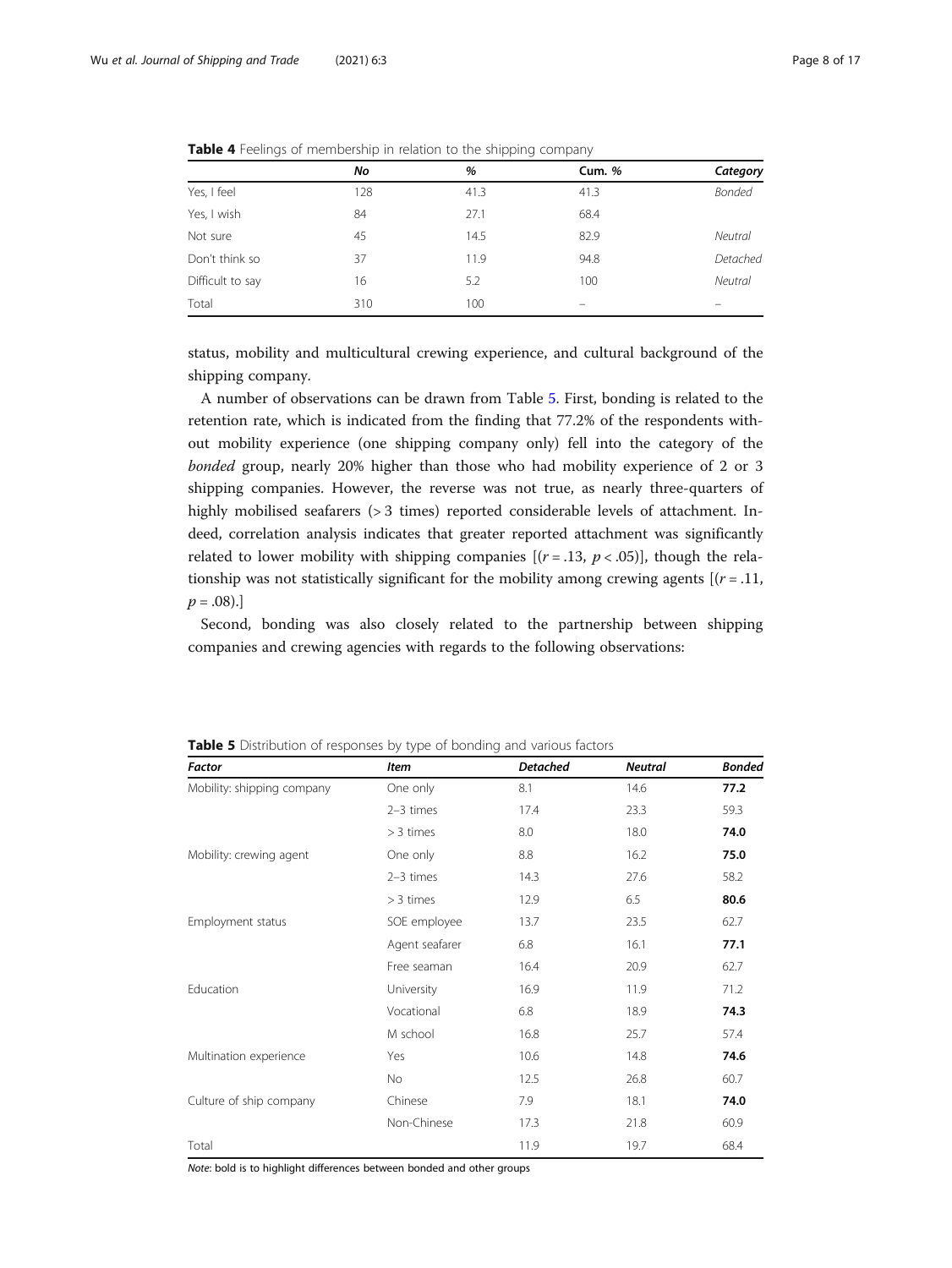|                  | No  | %    | <b>Cum.</b> % | Category       |
|------------------|-----|------|---------------|----------------|
| Yes, I feel      | 128 | 41.3 | 41.3          | <b>Bonded</b>  |
| Yes, I wish      | 84  | 27.1 | 68.4          |                |
| Not sure         | 45  | 14.5 | 82.9          | <b>Neutral</b> |
| Don't think so   | 37  | 11.9 | 94.8          | Detached       |
| Difficult to say | 16  | 5.2  | 100           | <b>Neutral</b> |
| Total            | 310 | 100  |               |                |

<span id="page-7-0"></span>Table 4 Feelings of membership in relation to the shipping company

status, mobility and multicultural crewing experience, and cultural background of the shipping company.

A number of observations can be drawn from Table 5. First, bonding is related to the retention rate, which is indicated from the finding that 77.2% of the respondents without mobility experience (one shipping company only) fell into the category of the bonded group, nearly 20% higher than those who had mobility experience of 2 or 3 shipping companies. However, the reverse was not true, as nearly three-quarters of highly mobilised seafarers (> 3 times) reported considerable levels of attachment. Indeed, correlation analysis indicates that greater reported attachment was significantly related to lower mobility with shipping companies  $[(r=.13, p < .05)]$ , though the relationship was not statistically significant for the mobility among crewing agents  $[(r = .11,$  $p = .08$ ).]

Second, bonding was also closely related to the partnership between shipping companies and crewing agencies with regards to the following observations:

| Factor                     | Item           | <b>Detached</b> | <b>Neutral</b> | <b>Bonded</b> |
|----------------------------|----------------|-----------------|----------------|---------------|
| Mobility: shipping company | One only       | 8.1             | 14.6           | 77.2          |
|                            | $2-3$ times    | 17.4            | 23.3           | 59.3          |
|                            | $>$ 3 times    | 8.0             | 18.0           | 74.0          |
| Mobility: crewing agent    | One only       | 8.8             | 16.2           | 75.0          |
|                            | $2-3$ times    | 14.3            | 27.6           | 58.2          |
|                            | $>$ 3 times    | 12.9            | 6.5            | 80.6          |
| Employment status          | SOE employee   | 13.7            | 23.5           | 62.7          |
|                            | Agent seafarer | 6.8             | 16.1           | 77.1          |
|                            | Free seaman    | 16.4            | 20.9           | 62.7          |
| Education                  | University     | 16.9            | 11.9           | 71.2          |
|                            | Vocational     | 6.8             | 18.9           | 74.3          |
|                            | M school       | 16.8            | 25.7           | 57.4          |
| Multination experience     | Yes            | 10.6            | 14.8           | 74.6          |
|                            | <b>No</b>      | 12.5            | 26.8           | 60.7          |
| Culture of ship company    | Chinese        | 7.9             | 18.1           | 74.0          |
|                            | Non-Chinese    | 17.3            | 21.8           | 60.9          |
| Total                      |                | 11.9            | 19.7           | 68.4          |

Table 5 Distribution of responses by type of bonding and various factors

Note: bold is to highlight differences between bonded and other groups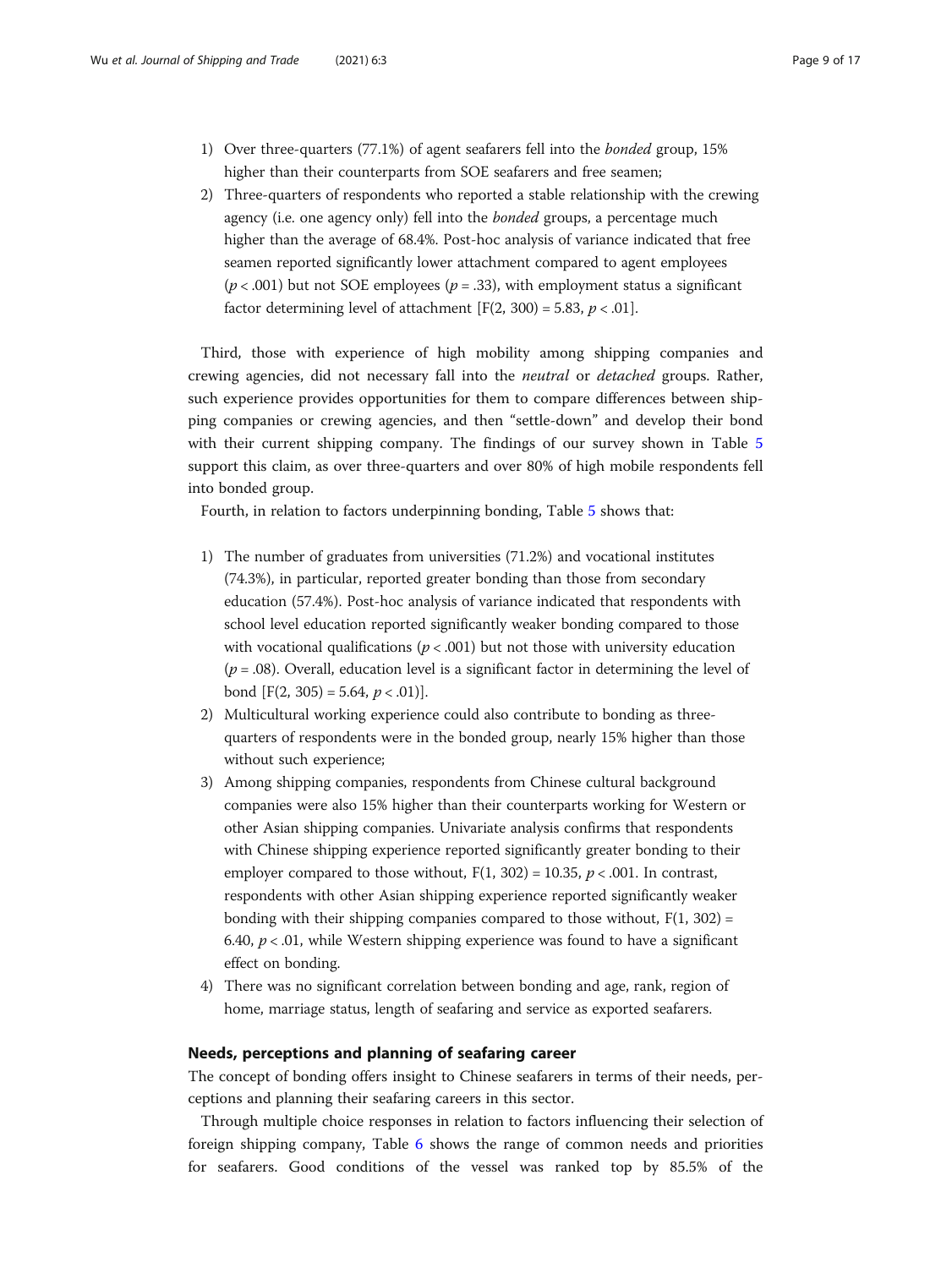- 1) Over three-quarters (77.1%) of agent seafarers fell into the bonded group, 15% higher than their counterparts from SOE seafarers and free seamen;
- 2) Three-quarters of respondents who reported a stable relationship with the crewing agency (i.e. one agency only) fell into the *bonded* groups, a percentage much higher than the average of 68.4%. Post-hoc analysis of variance indicated that free seamen reported significantly lower attachment compared to agent employees ( $p < .001$ ) but not SOE employees ( $p = .33$ ), with employment status a significant factor determining level of attachment  $[F(2, 300) = 5.83, p < .01]$ .

Third, those with experience of high mobility among shipping companies and crewing agencies, did not necessary fall into the neutral or detached groups. Rather, such experience provides opportunities for them to compare differences between shipping companies or crewing agencies, and then "settle-down" and develop their bond with their current shipping company. The findings of our survey shown in Table [5](#page-7-0) support this claim, as over three-quarters and over 80% of high mobile respondents fell into bonded group.

Fourth, in relation to factors underpinning bonding, Table [5](#page-7-0) shows that:

- 1) The number of graduates from universities (71.2%) and vocational institutes (74.3%), in particular, reported greater bonding than those from secondary education (57.4%). Post-hoc analysis of variance indicated that respondents with school level education reported significantly weaker bonding compared to those with vocational qualifications ( $p < .001$ ) but not those with university education  $(p=.08)$ . Overall, education level is a significant factor in determining the level of bond  $[F(2, 305) = 5.64, p < .01)].$
- 2) Multicultural working experience could also contribute to bonding as threequarters of respondents were in the bonded group, nearly 15% higher than those without such experience;
- 3) Among shipping companies, respondents from Chinese cultural background companies were also 15% higher than their counterparts working for Western or other Asian shipping companies. Univariate analysis confirms that respondents with Chinese shipping experience reported significantly greater bonding to their employer compared to those without,  $F(1, 302) = 10.35$ ,  $p < .001$ . In contrast, respondents with other Asian shipping experience reported significantly weaker bonding with their shipping companies compared to those without,  $F(1, 302) =$ 6.40,  $p < 0.01$ , while Western shipping experience was found to have a significant effect on bonding.
- 4) There was no significant correlation between bonding and age, rank, region of home, marriage status, length of seafaring and service as exported seafarers.

#### Needs, perceptions and planning of seafaring career

The concept of bonding offers insight to Chinese seafarers in terms of their needs, perceptions and planning their seafaring careers in this sector.

Through multiple choice responses in relation to factors influencing their selection of foreign shipping company, Table [6](#page-9-0) shows the range of common needs and priorities for seafarers. Good conditions of the vessel was ranked top by 85.5% of the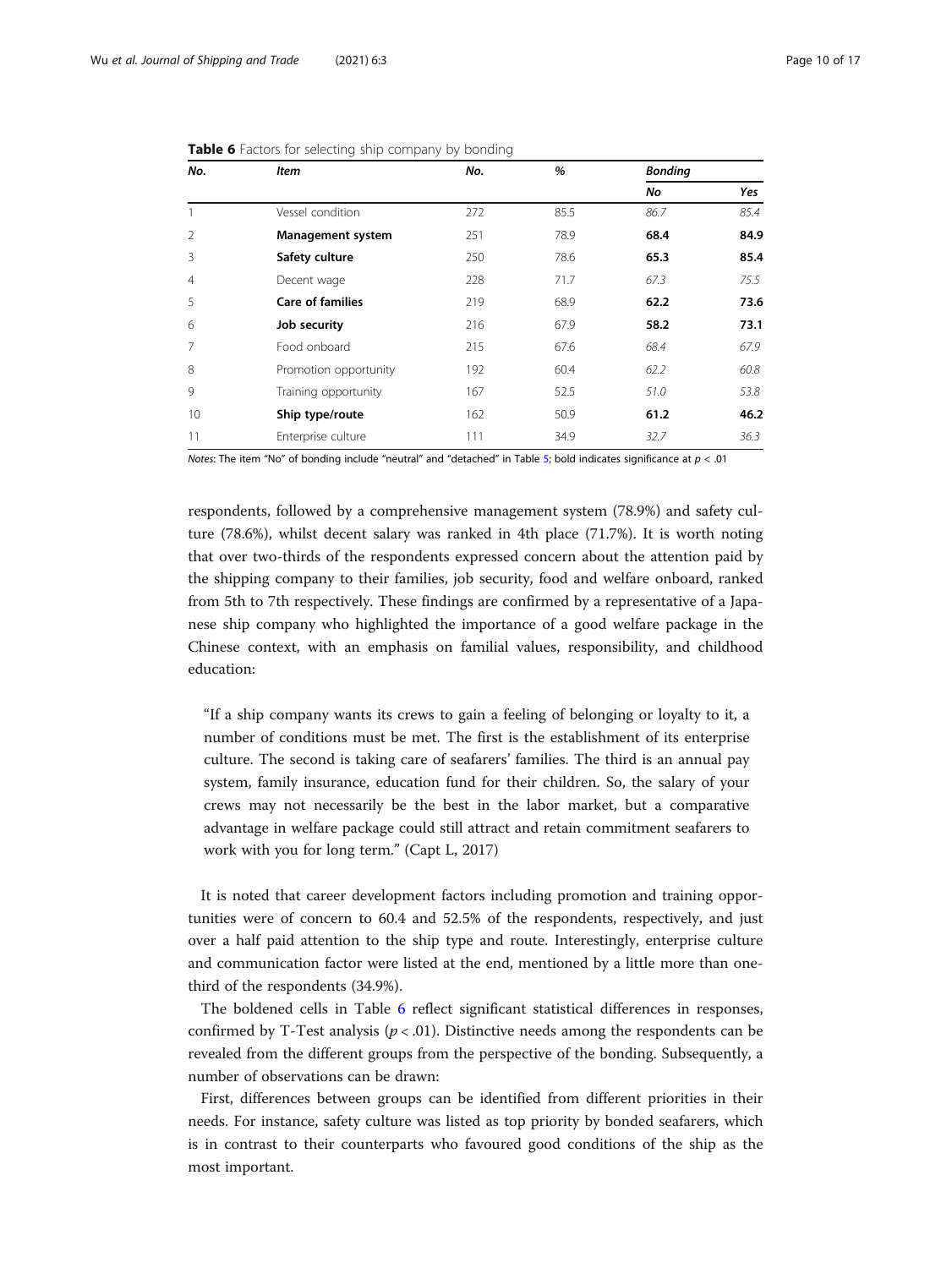| No.            | <b>Item</b>              | No. | %    | <b>Bonding</b> |      |  |
|----------------|--------------------------|-----|------|----------------|------|--|
|                |                          |     |      | No             | Yes  |  |
| 1              | Vessel condition         | 272 | 85.5 | 86.7           | 85.4 |  |
| $\overline{2}$ | <b>Management system</b> | 251 | 78.9 | 68.4           | 84.9 |  |
| 3              | Safety culture           | 250 | 78.6 | 65.3           | 85.4 |  |
| $\overline{4}$ | Decent wage              | 228 | 71.7 | 67.3           | 75.5 |  |
| 5              | <b>Care of families</b>  | 219 | 68.9 | 62.2           | 73.6 |  |
| 6              | Job security             | 216 | 67.9 | 58.2           | 73.1 |  |
| $\overline{7}$ | Food onboard             | 215 | 67.6 | 68.4           | 67.9 |  |
| 8              | Promotion opportunity    | 192 | 60.4 | 62.2           | 60.8 |  |
| 9              | Training opportunity     | 167 | 52.5 | 51.0           | 53.8 |  |
| 10             | Ship type/route          | 162 | 50.9 | 61.2           | 46.2 |  |
| 11             | Enterprise culture       | 111 | 34.9 | 32.7           | 36.3 |  |

<span id="page-9-0"></span>

| Table 6 Factors for selecting ship company by bonding |  |
|-------------------------------------------------------|--|
|-------------------------------------------------------|--|

Notes: The item "No" of bonding include "neutral" and "detached" in Table [5;](#page-7-0) bold indicates significance at  $p < .01$ 

respondents, followed by a comprehensive management system (78.9%) and safety culture (78.6%), whilst decent salary was ranked in 4th place (71.7%). It is worth noting that over two-thirds of the respondents expressed concern about the attention paid by the shipping company to their families, job security, food and welfare onboard, ranked from 5th to 7th respectively. These findings are confirmed by a representative of a Japanese ship company who highlighted the importance of a good welfare package in the Chinese context, with an emphasis on familial values, responsibility, and childhood education:

"If a ship company wants its crews to gain a feeling of belonging or loyalty to it, a number of conditions must be met. The first is the establishment of its enterprise culture. The second is taking care of seafarers' families. The third is an annual pay system, family insurance, education fund for their children. So, the salary of your crews may not necessarily be the best in the labor market, but a comparative advantage in welfare package could still attract and retain commitment seafarers to work with you for long term." (Capt L, 2017)

It is noted that career development factors including promotion and training opportunities were of concern to 60.4 and 52.5% of the respondents, respectively, and just over a half paid attention to the ship type and route. Interestingly, enterprise culture and communication factor were listed at the end, mentioned by a little more than onethird of the respondents (34.9%).

The boldened cells in Table 6 reflect significant statistical differences in responses, confirmed by T-Test analysis  $(p < .01)$ . Distinctive needs among the respondents can be revealed from the different groups from the perspective of the bonding. Subsequently, a number of observations can be drawn:

First, differences between groups can be identified from different priorities in their needs. For instance, safety culture was listed as top priority by bonded seafarers, which is in contrast to their counterparts who favoured good conditions of the ship as the most important.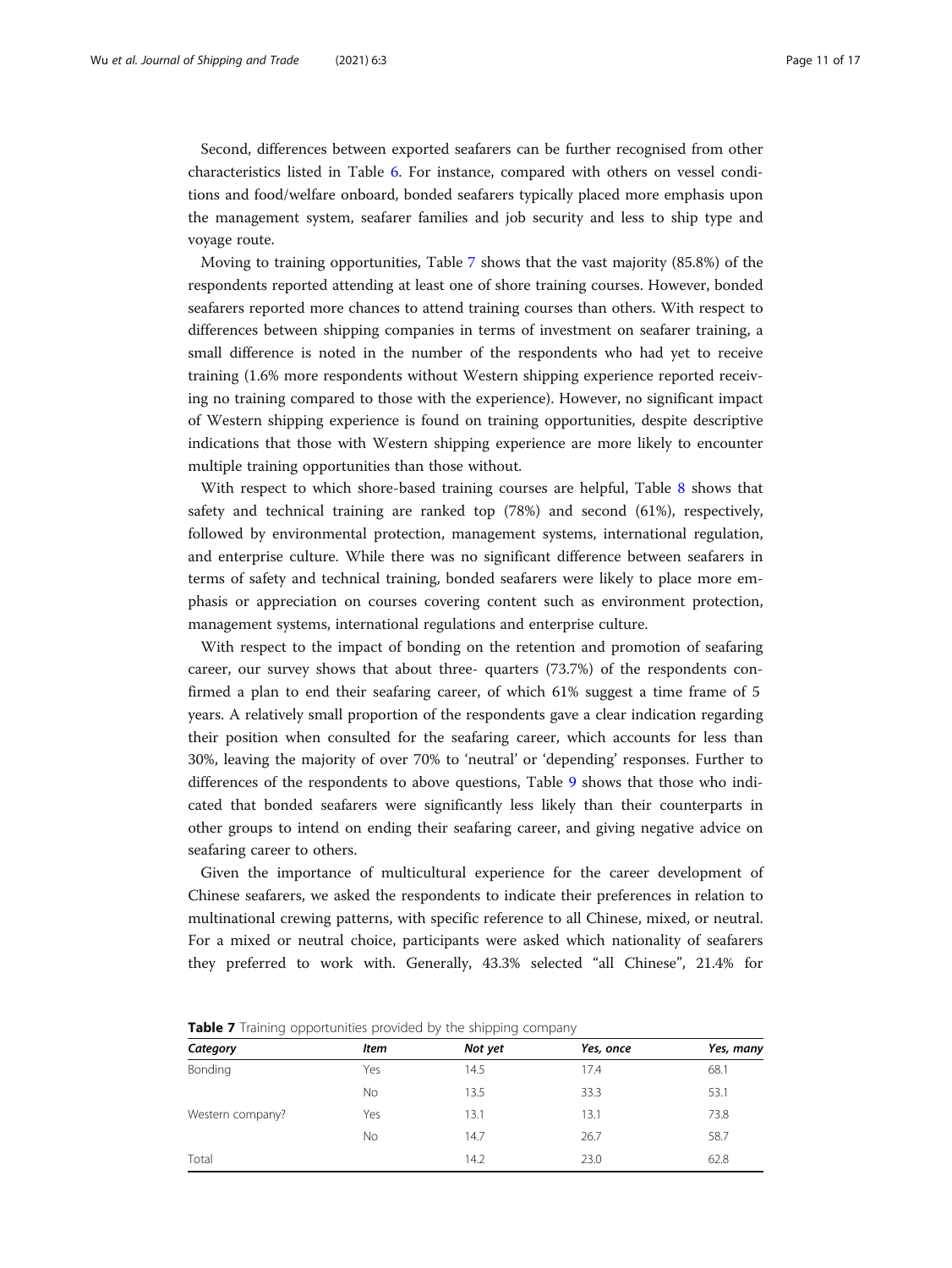Second, differences between exported seafarers can be further recognised from other characteristics listed in Table [6](#page-9-0). For instance, compared with others on vessel conditions and food/welfare onboard, bonded seafarers typically placed more emphasis upon the management system, seafarer families and job security and less to ship type and voyage route.

Moving to training opportunities, Table 7 shows that the vast majority (85.8%) of the respondents reported attending at least one of shore training courses. However, bonded seafarers reported more chances to attend training courses than others. With respect to differences between shipping companies in terms of investment on seafarer training, a small difference is noted in the number of the respondents who had yet to receive training (1.6% more respondents without Western shipping experience reported receiving no training compared to those with the experience). However, no significant impact of Western shipping experience is found on training opportunities, despite descriptive indications that those with Western shipping experience are more likely to encounter multiple training opportunities than those without.

With respect to which shore-based training courses are helpful, Table [8](#page-11-0) shows that safety and technical training are ranked top (78%) and second (61%), respectively, followed by environmental protection, management systems, international regulation, and enterprise culture. While there was no significant difference between seafarers in terms of safety and technical training, bonded seafarers were likely to place more emphasis or appreciation on courses covering content such as environment protection, management systems, international regulations and enterprise culture.

With respect to the impact of bonding on the retention and promotion of seafaring career, our survey shows that about three- quarters (73.7%) of the respondents confirmed a plan to end their seafaring career, of which 61% suggest a time frame of 5 years. A relatively small proportion of the respondents gave a clear indication regarding their position when consulted for the seafaring career, which accounts for less than 30%, leaving the majority of over 70% to 'neutral' or 'depending' responses. Further to differences of the respondents to above questions, Table [9](#page-11-0) shows that those who indicated that bonded seafarers were significantly less likely than their counterparts in other groups to intend on ending their seafaring career, and giving negative advice on seafaring career to others.

Given the importance of multicultural experience for the career development of Chinese seafarers, we asked the respondents to indicate their preferences in relation to multinational crewing patterns, with specific reference to all Chinese, mixed, or neutral. For a mixed or neutral choice, participants were asked which nationality of seafarers they preferred to work with. Generally, 43.3% selected "all Chinese", 21.4% for

| Category         | Item | Not yet | Yes, once | Yes, many |
|------------------|------|---------|-----------|-----------|
| Bonding          | Yes  | 14.5    | 17.4      | 68.1      |
|                  | No   | 13.5    | 33.3      | 53.1      |
| Western company? | Yes  | 13.1    | 13.1      | 73.8      |
|                  | No   | 14.7    | 26.7      | 58.7      |
| Total            |      | 14.2    | 23.0      | 62.8      |

**Table 7** Training opportunities provided by the shipping company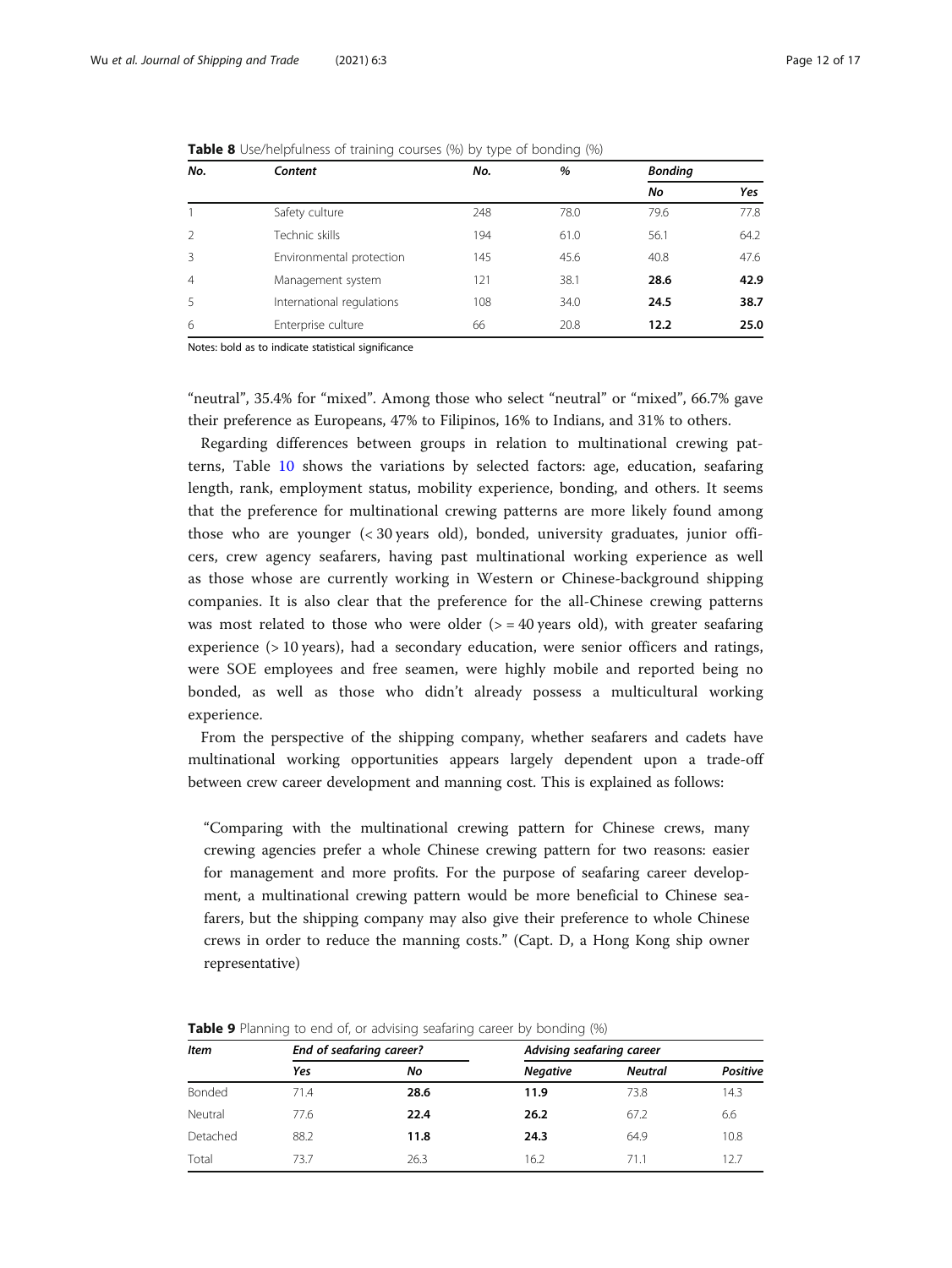| No.                      | Content                   | No. | %    | <b>Bonding</b> |      |
|--------------------------|---------------------------|-----|------|----------------|------|
|                          |                           |     |      | No             | Yes  |
|                          | Safety culture            | 248 | 78.0 | 79.6           | 77.8 |
| $\overline{\phantom{a}}$ | Technic skills            | 194 | 61.0 | 56.1           | 64.2 |
| 3                        | Environmental protection  | 145 | 45.6 | 40.8           | 47.6 |
| $\overline{4}$           | Management system         | 121 | 38.1 | 28.6           | 42.9 |
| 5                        | International regulations | 108 | 34.0 | 24.5           | 38.7 |
| 6                        | Enterprise culture        | 66  | 20.8 | 12.2           | 25.0 |

<span id="page-11-0"></span>**Table 8** Use/helpfulness of training courses (%) by type of bonding (%)

Notes: bold as to indicate statistical significance

"neutral", 35.4% for "mixed". Among those who select "neutral" or "mixed", 66.7% gave their preference as Europeans, 47% to Filipinos, 16% to Indians, and 31% to others.

Regarding differences between groups in relation to multinational crewing patterns, Table [10](#page-12-0) shows the variations by selected factors: age, education, seafaring length, rank, employment status, mobility experience, bonding, and others. It seems that the preference for multinational crewing patterns are more likely found among those who are younger (< 30 years old), bonded, university graduates, junior officers, crew agency seafarers, having past multinational working experience as well as those whose are currently working in Western or Chinese-background shipping companies. It is also clear that the preference for the all-Chinese crewing patterns was most related to those who were older ( $>$  = 40 years old), with greater seafaring experience (> 10 years), had a secondary education, were senior officers and ratings, were SOE employees and free seamen, were highly mobile and reported being no bonded, as well as those who didn't already possess a multicultural working experience.

From the perspective of the shipping company, whether seafarers and cadets have multinational working opportunities appears largely dependent upon a trade-off between crew career development and manning cost. This is explained as follows:

"Comparing with the multinational crewing pattern for Chinese crews, many crewing agencies prefer a whole Chinese crewing pattern for two reasons: easier for management and more profits. For the purpose of seafaring career development, a multinational crewing pattern would be more beneficial to Chinese seafarers, but the shipping company may also give their preference to whole Chinese crews in order to reduce the manning costs." (Capt. D, a Hong Kong ship owner representative)

| Item     | End of seafaring career? |      | Advising seafaring career |                |                 |  |  |
|----------|--------------------------|------|---------------------------|----------------|-----------------|--|--|
|          | Yes                      | Νo   | <b>Negative</b>           | <b>Neutral</b> | <b>Positive</b> |  |  |
| Bonded   | 71.4                     | 28.6 | 11.9                      | 73.8           | 14.3            |  |  |
| Neutral  | 77.6                     | 22.4 | 26.2                      | 67.2           | 6.6             |  |  |
| Detached | 88.2                     | 11.8 | 24.3                      | 64.9           | 10.8            |  |  |
| Total    | 73.7                     | 26.3 | 16.2                      | 71.1           | 12.7            |  |  |

**Table 9** Planning to end of, or advising seafaring career by bonding (%)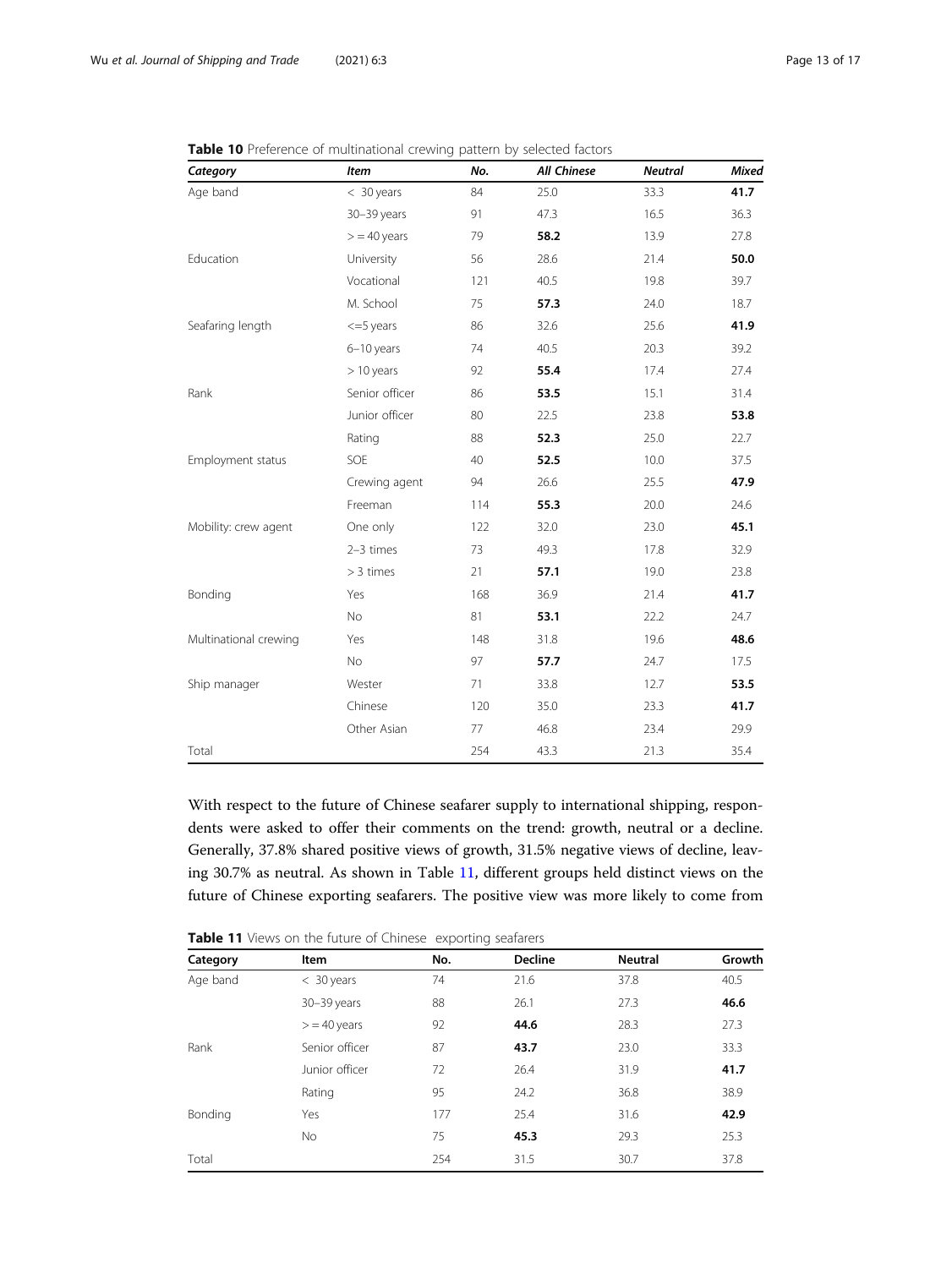| Category              | <b>Item</b>    | No. | <b>All Chinese</b> | <b>Neutral</b> | <b>Mixed</b> |
|-----------------------|----------------|-----|--------------------|----------------|--------------|
| Age band              | $<$ 30 years   | 84  | 25.0               | 33.3           | 41.7         |
|                       | 30-39 years    | 91  | 47.3               | 16.5           | 36.3         |
|                       | $>$ = 40 years | 79  | 58.2               | 13.9           | 27.8         |
| Education             | University     | 56  | 28.6               | 21.4           | 50.0         |
|                       | Vocational     | 121 | 40.5               | 19.8           | 39.7         |
|                       | M. School      | 75  | 57.3               | 24.0           | 18.7         |
| Seafaring length      | $<=5$ years    | 86  | 32.6               | 25.6           | 41.9         |
|                       | 6-10 years     | 74  | 40.5               | 20.3           | 39.2         |
|                       | $> 10$ years   | 92  | 55.4               | 17.4           | 27.4         |
| Rank                  | Senior officer | 86  | 53.5               | 15.1           | 31.4         |
|                       | Junior officer | 80  | 22.5               | 23.8           | 53.8         |
|                       | Rating         | 88  | 52.3               | 25.0           | 22.7         |
| Employment status     | SOE            | 40  | 52.5               | 10.0           | 37.5         |
|                       | Crewing agent  | 94  | 26.6               | 25.5           | 47.9         |
|                       | Freeman        | 114 | 55.3               | 20.0           | 24.6         |
| Mobility: crew agent  | One only       | 122 | 32.0               | 23.0           | 45.1         |
|                       | 2-3 times      | 73  | 49.3               | 17.8           | 32.9         |
|                       | > 3 times      | 21  | 57.1               | 19.0           | 23.8         |
| Bonding               | Yes            | 168 | 36.9               | 21.4           | 41.7         |
|                       | <b>No</b>      | 81  | 53.1               | 22.2           | 24.7         |
| Multinational crewing | Yes            | 148 | 31.8               | 19.6           | 48.6         |
|                       | <b>No</b>      | 97  | 57.7               | 24.7           | 17.5         |
| Ship manager          | Wester         | 71  | 33.8               | 12.7           | 53.5         |
|                       | Chinese        | 120 | 35.0               | 23.3           | 41.7         |
|                       | Other Asian    | 77  | 46.8               | 23.4           | 29.9         |
| Total                 |                | 254 | 43.3               | 21.3           | 35.4         |

<span id="page-12-0"></span>

| Table 10 Preference of multinational crewing pattern by selected factors |  |
|--------------------------------------------------------------------------|--|
|--------------------------------------------------------------------------|--|

With respect to the future of Chinese seafarer supply to international shipping, respondents were asked to offer their comments on the trend: growth, neutral or a decline. Generally, 37.8% shared positive views of growth, 31.5% negative views of decline, leaving 30.7% as neutral. As shown in Table 11, different groups held distinct views on the future of Chinese exporting seafarers. The positive view was more likely to come from

| Category | Item           | No. | <b>Decline</b> | <b>Neutral</b> | Growth |
|----------|----------------|-----|----------------|----------------|--------|
| Age band | $<$ 30 years   | 74  | 21.6           | 37.8           | 40.5   |
|          | 30-39 years    | 88  | 26.1           | 27.3           | 46.6   |
|          | $>$ = 40 years | 92  | 44.6           | 28.3           | 27.3   |
| Rank     | Senior officer | 87  | 43.7           | 23.0           | 33.3   |
|          | Junior officer | 72  | 26.4           | 31.9           | 41.7   |
|          | Rating         | 95  | 24.2           | 36.8           | 38.9   |
| Bonding  | Yes            | 177 | 25.4           | 31.6           | 42.9   |
|          | <b>No</b>      | 75  | 45.3           | 29.3           | 25.3   |
| Total    |                | 254 | 31.5           | 30.7           | 37.8   |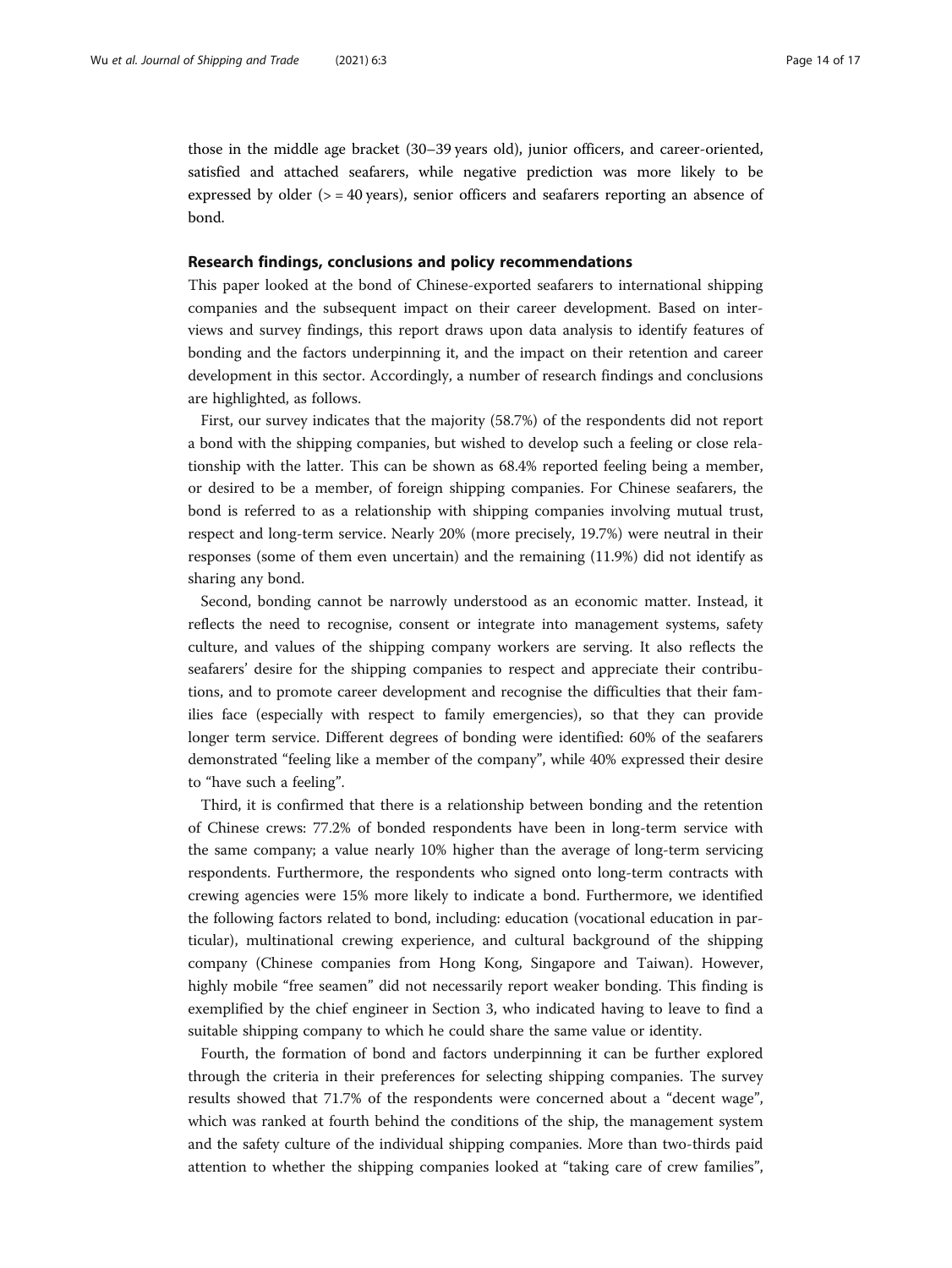those in the middle age bracket (30–39 years old), junior officers, and career-oriented, satisfied and attached seafarers, while negative prediction was more likely to be expressed by older  $(>= 40 \text{ years})$ , senior officers and seafarers reporting an absence of bond.

#### Research findings, conclusions and policy recommendations

This paper looked at the bond of Chinese-exported seafarers to international shipping companies and the subsequent impact on their career development. Based on interviews and survey findings, this report draws upon data analysis to identify features of bonding and the factors underpinning it, and the impact on their retention and career development in this sector. Accordingly, a number of research findings and conclusions are highlighted, as follows.

First, our survey indicates that the majority (58.7%) of the respondents did not report a bond with the shipping companies, but wished to develop such a feeling or close relationship with the latter. This can be shown as 68.4% reported feeling being a member, or desired to be a member, of foreign shipping companies. For Chinese seafarers, the bond is referred to as a relationship with shipping companies involving mutual trust, respect and long-term service. Nearly 20% (more precisely, 19.7%) were neutral in their responses (some of them even uncertain) and the remaining (11.9%) did not identify as sharing any bond.

Second, bonding cannot be narrowly understood as an economic matter. Instead, it reflects the need to recognise, consent or integrate into management systems, safety culture, and values of the shipping company workers are serving. It also reflects the seafarers' desire for the shipping companies to respect and appreciate their contributions, and to promote career development and recognise the difficulties that their families face (especially with respect to family emergencies), so that they can provide longer term service. Different degrees of bonding were identified: 60% of the seafarers demonstrated "feeling like a member of the company", while 40% expressed their desire to "have such a feeling".

Third, it is confirmed that there is a relationship between bonding and the retention of Chinese crews: 77.2% of bonded respondents have been in long-term service with the same company; a value nearly 10% higher than the average of long-term servicing respondents. Furthermore, the respondents who signed onto long-term contracts with crewing agencies were 15% more likely to indicate a bond. Furthermore, we identified the following factors related to bond, including: education (vocational education in particular), multinational crewing experience, and cultural background of the shipping company (Chinese companies from Hong Kong, Singapore and Taiwan). However, highly mobile "free seamen" did not necessarily report weaker bonding. This finding is exemplified by the chief engineer in Section 3, who indicated having to leave to find a suitable shipping company to which he could share the same value or identity.

Fourth, the formation of bond and factors underpinning it can be further explored through the criteria in their preferences for selecting shipping companies. The survey results showed that 71.7% of the respondents were concerned about a "decent wage", which was ranked at fourth behind the conditions of the ship, the management system and the safety culture of the individual shipping companies. More than two-thirds paid attention to whether the shipping companies looked at "taking care of crew families",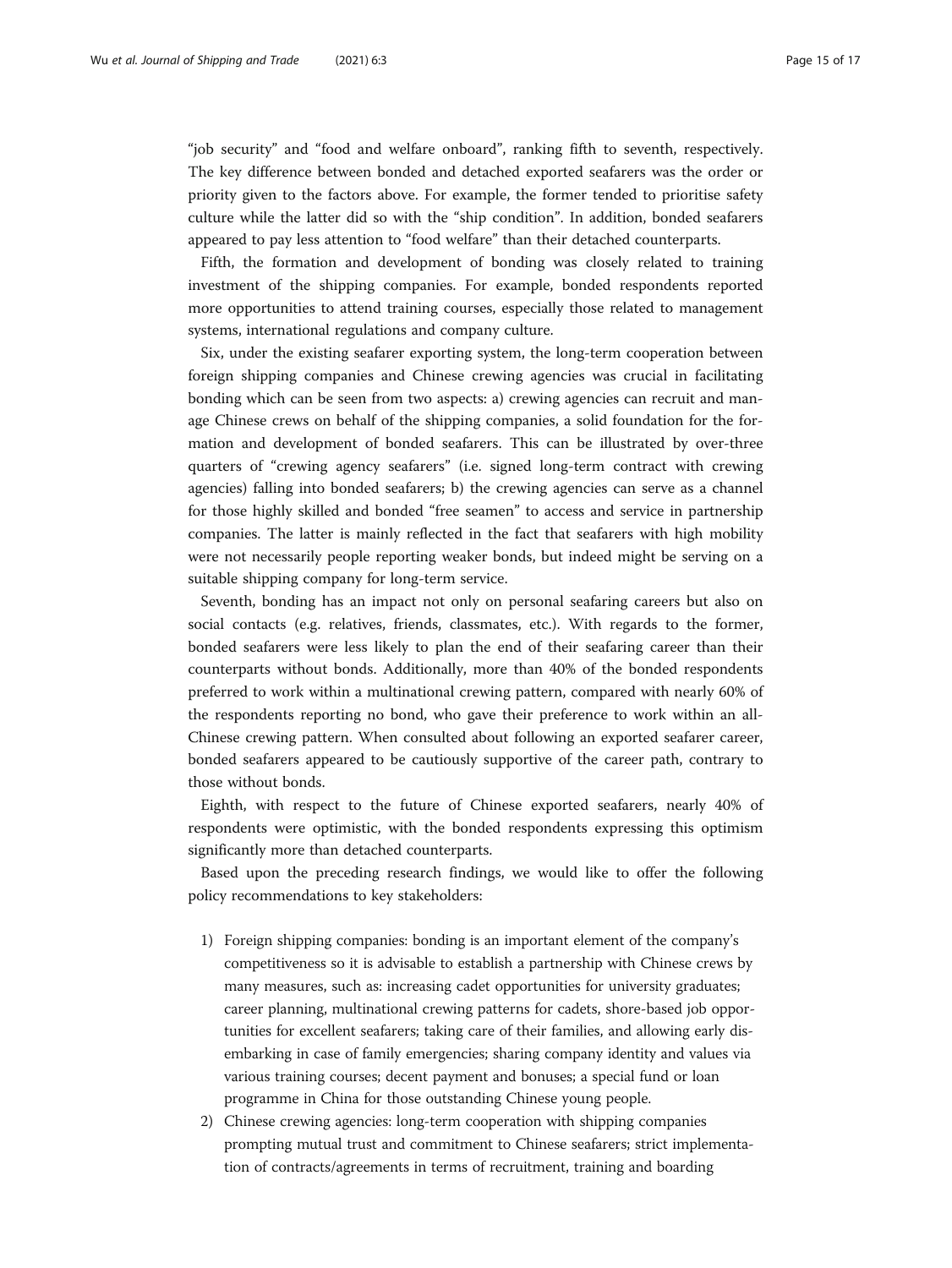"job security" and "food and welfare onboard", ranking fifth to seventh, respectively. The key difference between bonded and detached exported seafarers was the order or priority given to the factors above. For example, the former tended to prioritise safety culture while the latter did so with the "ship condition". In addition, bonded seafarers appeared to pay less attention to "food welfare" than their detached counterparts.

Fifth, the formation and development of bonding was closely related to training investment of the shipping companies. For example, bonded respondents reported more opportunities to attend training courses, especially those related to management systems, international regulations and company culture.

Six, under the existing seafarer exporting system, the long-term cooperation between foreign shipping companies and Chinese crewing agencies was crucial in facilitating bonding which can be seen from two aspects: a) crewing agencies can recruit and manage Chinese crews on behalf of the shipping companies, a solid foundation for the formation and development of bonded seafarers. This can be illustrated by over-three quarters of "crewing agency seafarers" (i.e. signed long-term contract with crewing agencies) falling into bonded seafarers; b) the crewing agencies can serve as a channel for those highly skilled and bonded "free seamen" to access and service in partnership companies. The latter is mainly reflected in the fact that seafarers with high mobility were not necessarily people reporting weaker bonds, but indeed might be serving on a suitable shipping company for long-term service.

Seventh, bonding has an impact not only on personal seafaring careers but also on social contacts (e.g. relatives, friends, classmates, etc.). With regards to the former, bonded seafarers were less likely to plan the end of their seafaring career than their counterparts without bonds. Additionally, more than 40% of the bonded respondents preferred to work within a multinational crewing pattern, compared with nearly 60% of the respondents reporting no bond, who gave their preference to work within an all-Chinese crewing pattern. When consulted about following an exported seafarer career, bonded seafarers appeared to be cautiously supportive of the career path, contrary to those without bonds.

Eighth, with respect to the future of Chinese exported seafarers, nearly 40% of respondents were optimistic, with the bonded respondents expressing this optimism significantly more than detached counterparts.

Based upon the preceding research findings, we would like to offer the following policy recommendations to key stakeholders:

- 1) Foreign shipping companies: bonding is an important element of the company's competitiveness so it is advisable to establish a partnership with Chinese crews by many measures, such as: increasing cadet opportunities for university graduates; career planning, multinational crewing patterns for cadets, shore-based job opportunities for excellent seafarers; taking care of their families, and allowing early disembarking in case of family emergencies; sharing company identity and values via various training courses; decent payment and bonuses; a special fund or loan programme in China for those outstanding Chinese young people.
- 2) Chinese crewing agencies: long-term cooperation with shipping companies prompting mutual trust and commitment to Chinese seafarers; strict implementation of contracts/agreements in terms of recruitment, training and boarding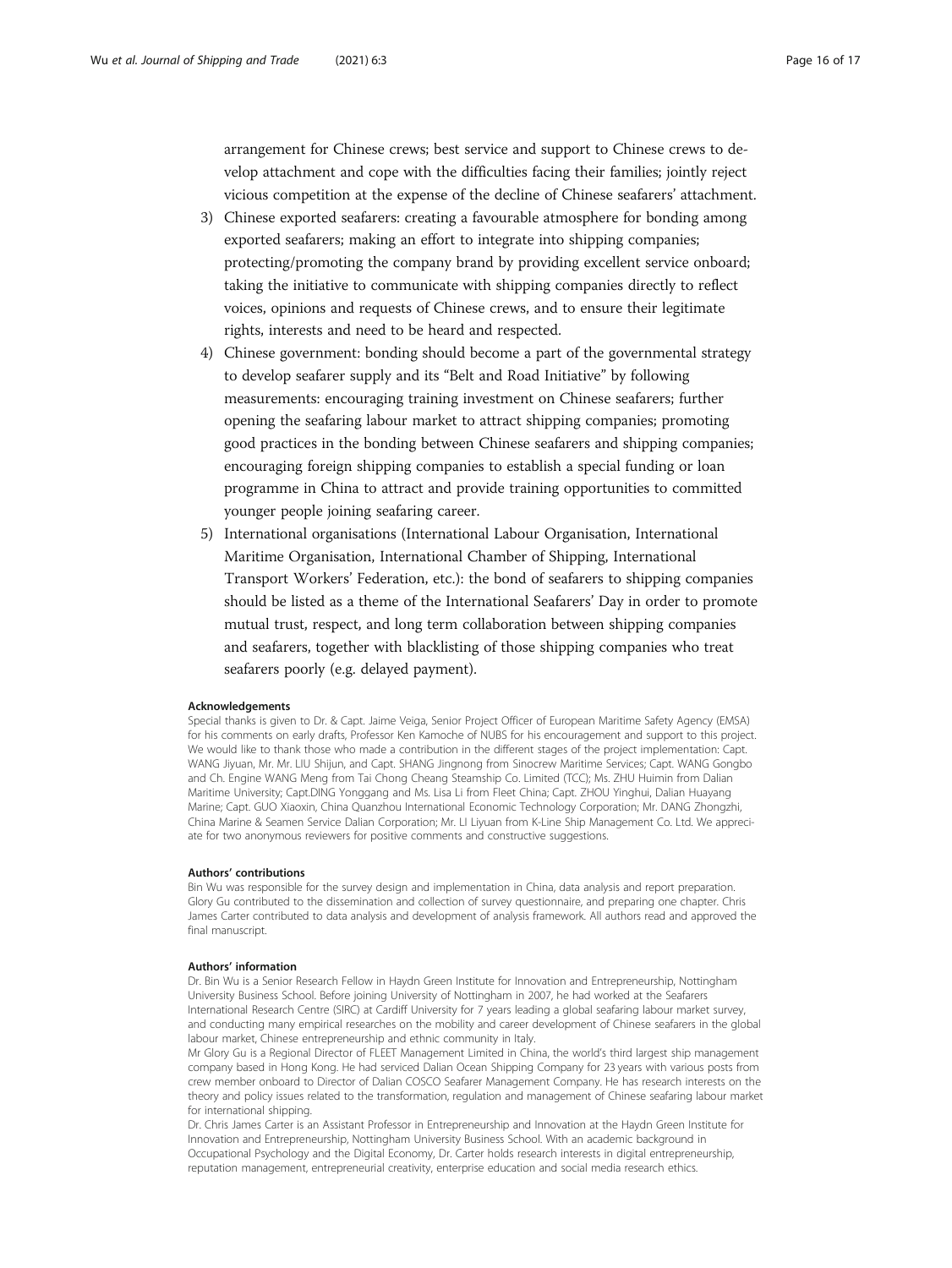arrangement for Chinese crews; best service and support to Chinese crews to develop attachment and cope with the difficulties facing their families; jointly reject vicious competition at the expense of the decline of Chinese seafarers' attachment.

- 3) Chinese exported seafarers: creating a favourable atmosphere for bonding among exported seafarers; making an effort to integrate into shipping companies; protecting/promoting the company brand by providing excellent service onboard; taking the initiative to communicate with shipping companies directly to reflect voices, opinions and requests of Chinese crews, and to ensure their legitimate rights, interests and need to be heard and respected.
- 4) Chinese government: bonding should become a part of the governmental strategy to develop seafarer supply and its "Belt and Road Initiative" by following measurements: encouraging training investment on Chinese seafarers; further opening the seafaring labour market to attract shipping companies; promoting good practices in the bonding between Chinese seafarers and shipping companies; encouraging foreign shipping companies to establish a special funding or loan programme in China to attract and provide training opportunities to committed younger people joining seafaring career.
- 5) International organisations (International Labour Organisation, International Maritime Organisation, International Chamber of Shipping, International Transport Workers' Federation, etc.): the bond of seafarers to shipping companies should be listed as a theme of the International Seafarers' Day in order to promote mutual trust, respect, and long term collaboration between shipping companies and seafarers, together with blacklisting of those shipping companies who treat seafarers poorly (e.g. delayed payment).

#### Acknowledgements

Special thanks is given to Dr. & Capt. Jaime Veiga, Senior Project Officer of European Maritime Safety Agency (EMSA) for his comments on early drafts, Professor Ken Kamoche of NUBS for his encouragement and support to this project. We would like to thank those who made a contribution in the different stages of the project implementation: Capt. WANG Jiyuan, Mr. Mr. LIU Shijun, and Capt. SHANG Jingnong from Sinocrew Maritime Services; Capt. WANG Gongbo and Ch. Engine WANG Meng from Tai Chong Cheang Steamship Co. Limited (TCC); Ms. ZHU Huimin from Dalian Maritime University; Capt.DING Yonggang and Ms. Lisa Li from Fleet China; Capt. ZHOU Yinghui, Dalian Huayang Marine; Capt. GUO Xiaoxin, China Quanzhou International Economic Technology Corporation; Mr. DANG Zhongzhi, China Marine & Seamen Service Dalian Corporation; Mr. LI Liyuan from K-Line Ship Management Co. Ltd. We appreciate for two anonymous reviewers for positive comments and constructive suggestions.

#### Authors' contributions

Bin Wu was responsible for the survey design and implementation in China, data analysis and report preparation. Glory Gu contributed to the dissemination and collection of survey questionnaire, and preparing one chapter. Chris James Carter contributed to data analysis and development of analysis framework. All authors read and approved the final manuscript.

#### Authors' information

Dr. Bin Wu is a Senior Research Fellow in Haydn Green Institute for Innovation and Entrepreneurship, Nottingham University Business School. Before joining University of Nottingham in 2007, he had worked at the Seafarers International Research Centre (SIRC) at Cardiff University for 7 years leading a global seafaring labour market survey, and conducting many empirical researches on the mobility and career development of Chinese seafarers in the global labour market, Chinese entrepreneurship and ethnic community in Italy.

Mr Glory Gu is a Regional Director of FLEET Management Limited in China, the world's third largest ship management company based in Hong Kong. He had serviced Dalian Ocean Shipping Company for 23 years with various posts from crew member onboard to Director of Dalian COSCO Seafarer Management Company. He has research interests on the theory and policy issues related to the transformation, regulation and management of Chinese seafaring labour market for international shipping.

Dr. Chris James Carter is an Assistant Professor in Entrepreneurship and Innovation at the Haydn Green Institute for Innovation and Entrepreneurship, Nottingham University Business School. With an academic background in Occupational Psychology and the Digital Economy, Dr. Carter holds research interests in digital entrepreneurship, reputation management, entrepreneurial creativity, enterprise education and social media research ethics.